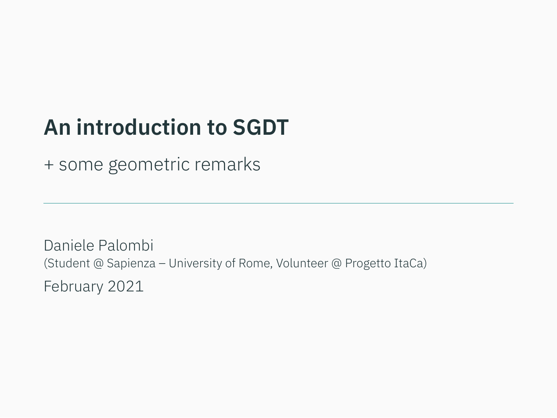# **An introduction to SGDT**

+ some geometric remarks

Daniele Palombi (Student @ Sapienza – University of Rome, Volunteer @ Progetto ItaCa) February 2021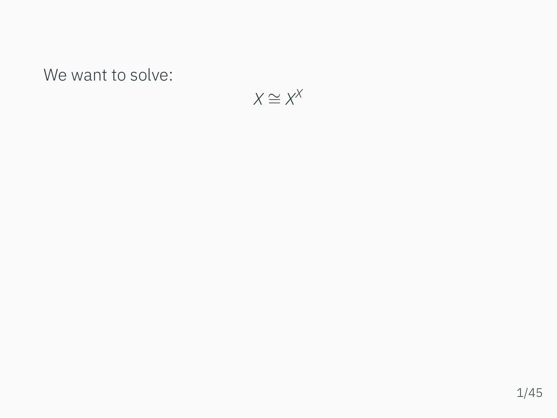We want to solve:

$$
X\cong X^X
$$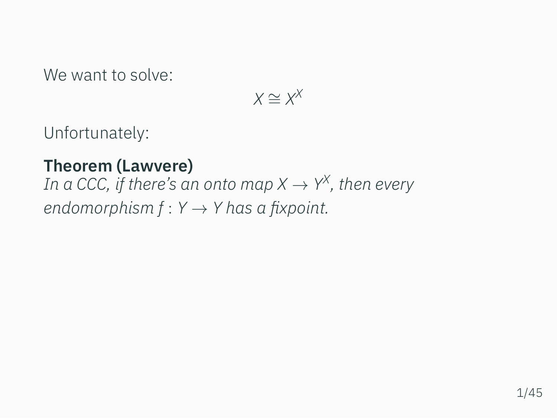We want to solve:

$$
X \cong X^X
$$

Unfortunately:

### **Theorem (Lawvere)**

*In a CCC, if there's an onto map X*  $\rightarrow$  *Y<sup>x</sup>, then every endomorphism f* : *Y → Y has a fixpoint.*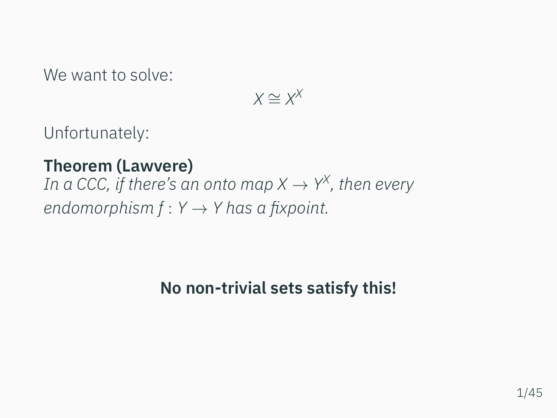We want to solve:

$$
X\cong X^X
$$

Unfortunately:

#### **Theorem (Lawvere)**

*In a CCC, if there's an onto map X*  $\rightarrow$  *Y<sup>x</sup>, then every endomorphism f* : *Y → Y has a fixpoint.*

# **No non-trivial sets satisfy this!**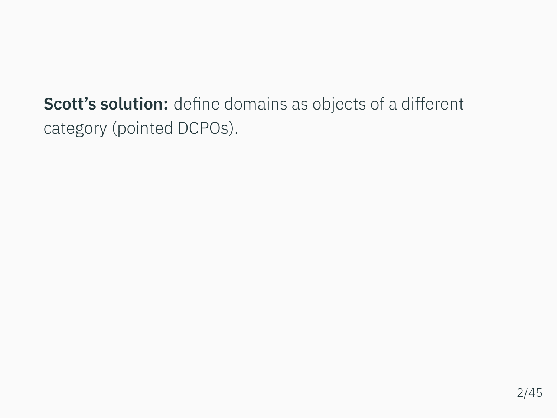**Scott's solution:** define domains as objects of a different category (pointed DCPOs).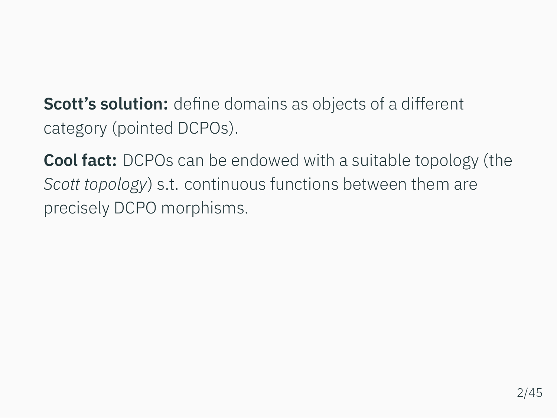**Scott's solution:** define domains as objects of a different category (pointed DCPOs).

**Cool fact:** DCPOs can be endowed with a suitable topology (the *Scott topology*) s.t. continuous functions between them are precisely DCPO morphisms.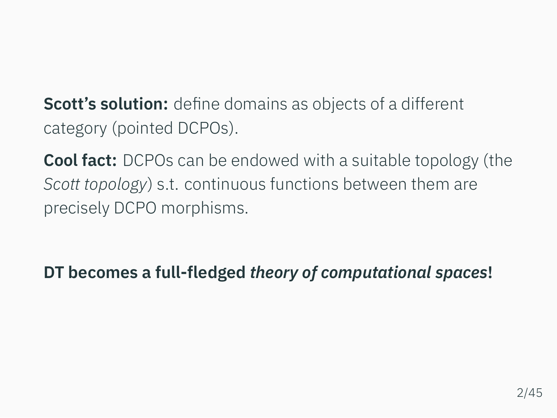**Scott's solution:** define domains as objects of a different category (pointed DCPOs).

**Cool fact:** DCPOs can be endowed with a suitable topology (the *Scott topology*) s.t. continuous functions between them are precisely DCPO morphisms.

**DT becomes a full-fledged** *theory of computational spaces***!**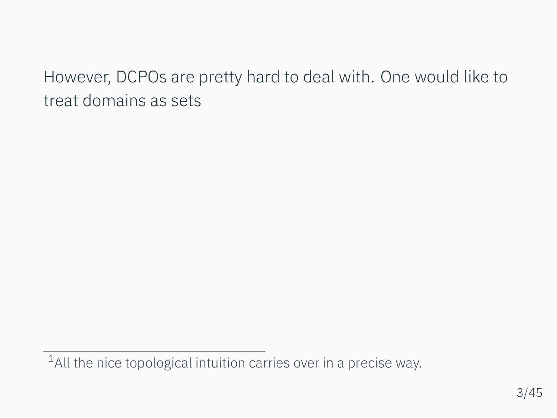However, DCPOs are pretty hard to deal with. One would like to treat domains as sets

<sup>&</sup>lt;sup>1</sup>All the nice topological intuition carries over in a precise way.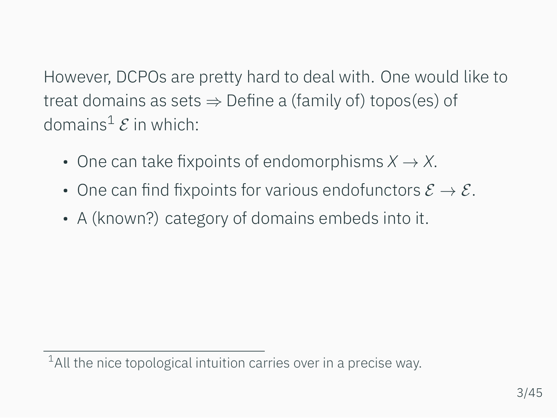However, DCPOs are pretty hard to deal with. One would like to treat domains as sets *⇒* Define a (family of) topos(es) of domains<sup>1</sup>  $\mathcal E$  in which:

- One can take fixpoints of endomorphisms *X → X*.
- One can find fixpoints for various endofunctors *E → E*.
- A (known?) category of domains embeds into it.

 $1$ All the nice topological intuition carries over in a precise way.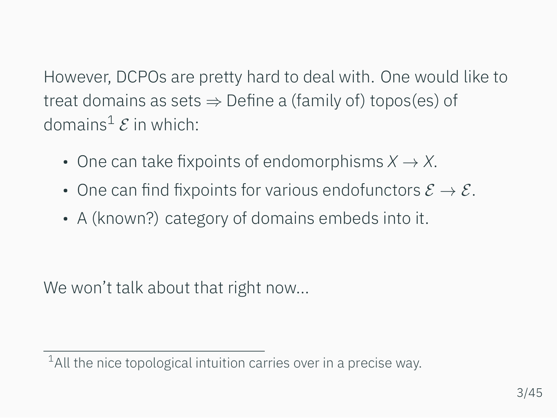However, DCPOs are pretty hard to deal with. One would like to treat domains as sets *⇒* Define a (family of) topos(es) of domains<sup>1</sup>  $\mathcal E$  in which:

- One can take fixpoints of endomorphisms *X → X*.
- One can find fixpoints for various endofunctors *E → E*.
- A (known?) category of domains embeds into it.

We won't talk about that right now...

 $1$ All the nice topological intuition carries over in a precise way.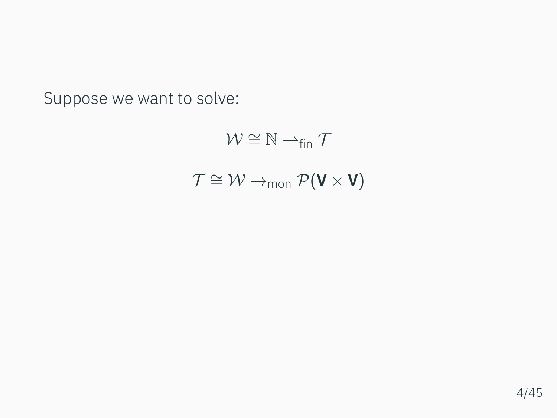Suppose we want to solve:

$$
\mathcal{W} \cong \mathbb{N} \rightarrow_{fin} \mathcal{T}
$$

$$
\mathcal{T} \cong \mathcal{W} \rightarrow_{mon} \mathcal{P}(\mathbf{V} \times \mathbf{V})
$$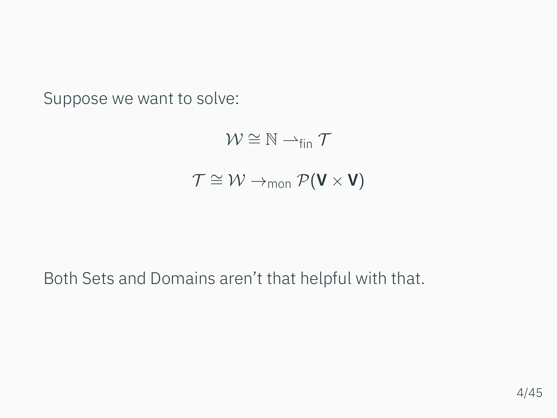Suppose we want to solve:

$$
\mathcal{W} \cong \mathbb{N} \rightarrow_{fin} \mathcal{T}
$$

$$
\mathcal{T} \cong \mathcal{W} \rightarrow_{mon} \mathcal{P}(\mathbf{V} \times \mathbf{V})
$$

#### Both Sets and Domains aren't that helpful with that.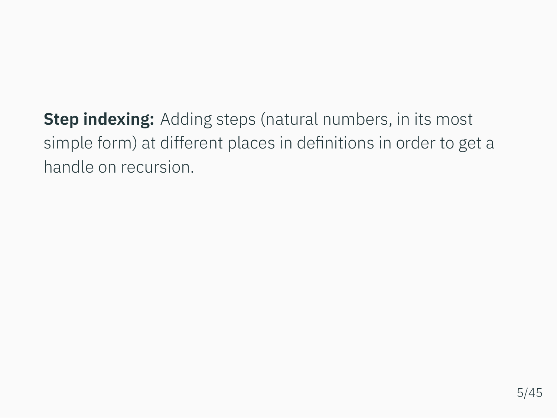**Step indexing:** Adding steps (natural numbers, in its most simple form) at different places in definitions in order to get a handle on recursion.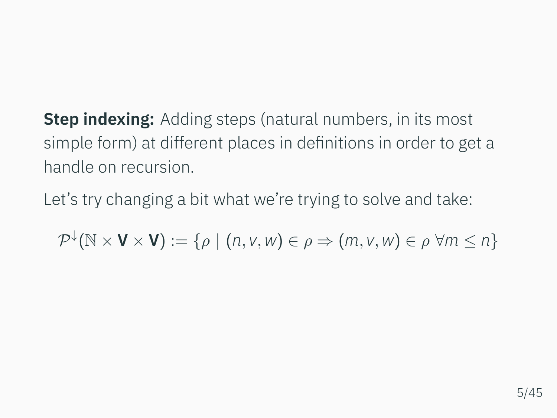**Step indexing:** Adding steps (natural numbers, in its most simple form) at different places in definitions in order to get a handle on recursion.

Let's try changing a bit what we're trying to solve and take:

 $\mathcal{P}^{\downarrow}(\mathbb{N} \times \mathbf{V} \times \mathbf{V}) := \{ \rho \mid (n, v, w) \in \rho \Rightarrow (m, v, w) \in \rho \; \forall m \leq n \}$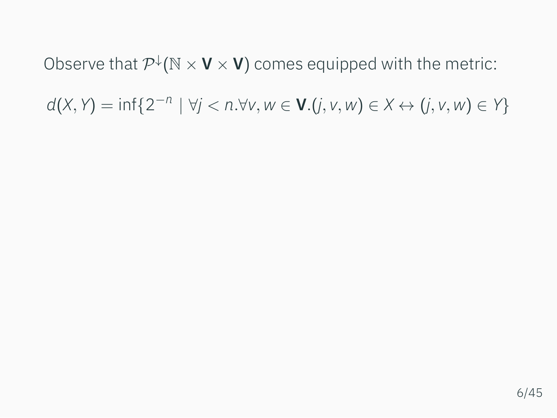Observe that  $\mathcal{P}^{\downarrow}(\mathbb{N} \times \mathbf{V} \times \mathbf{V})$  comes equipped with the metric:  $d(X, Y) = \inf\{2^{-n} \mid \forall j < n. \forall v, w \in V.(j, v, w) \in X \leftrightarrow (j, v, w) \in Y\}$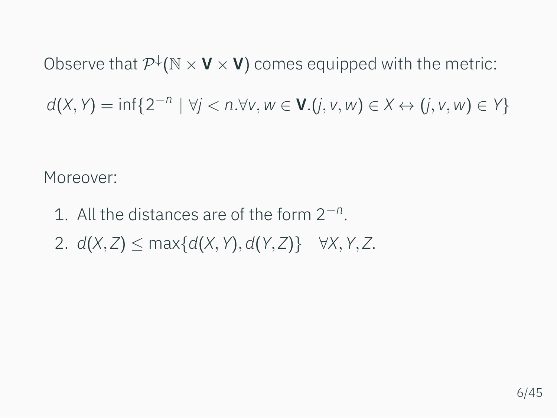Observe that  $\mathcal{P}^{\downarrow}(\mathbb{N} \times \mathbf{V} \times \mathbf{V})$  comes equipped with the metric:

 $d(X, Y) = \inf\{2^{-n} \mid \forall j < n. \forall v, w \in V.(j, v, w) \in X \leftrightarrow (j, v, w) \in Y\}$ 

Moreover:

- 1. All the distances are of the form 2*−<sup>n</sup>* .
- 2. *d*(*X, Z*) *≤* max*{d*(*X, Y*)*, d*(*Y, Z*)*} ∀X, Y, Z*.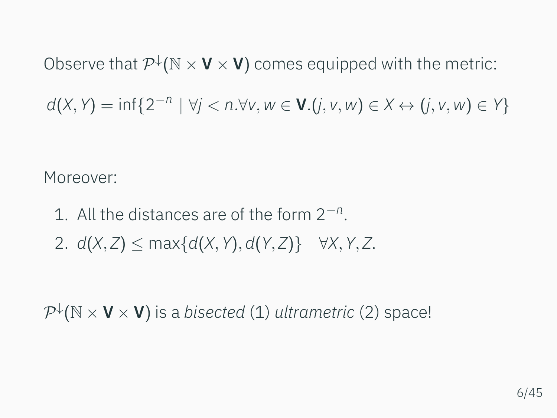Observe that  $\mathcal{P}^{\downarrow}(\mathbb{N} \times \mathbf{V} \times \mathbf{V})$  comes equipped with the metric:

 $d(X, Y) = \inf\{2^{-n} \mid \forall j < n. \forall v, w \in V.(j, v, w) \in X \leftrightarrow (j, v, w) \in Y\}$ 

Moreover:

- 1. All the distances are of the form 2*−<sup>n</sup>* .
- 2. *d*(*X, Z*) *≤* max*{d*(*X, Y*)*, d*(*Y, Z*)*} ∀X, Y, Z*.

*P ↓* (N *×* **V** *×* **V**) is a *bisected* (1) *ultrametric* (2) space!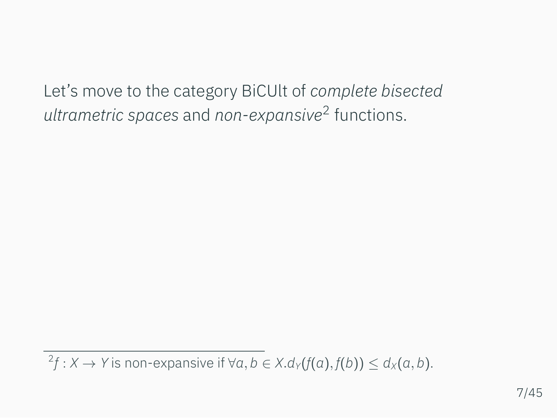Let's move to the category BiCUlt of *complete bisected ultrametric spaces* and *non-expansive*<sup>2</sup> functions.

 $f^2f: X \to Y$  is non-expansive if  $\forall a, b \in X. d_Y(f(a), f(b)) \leq d_X(a, b).$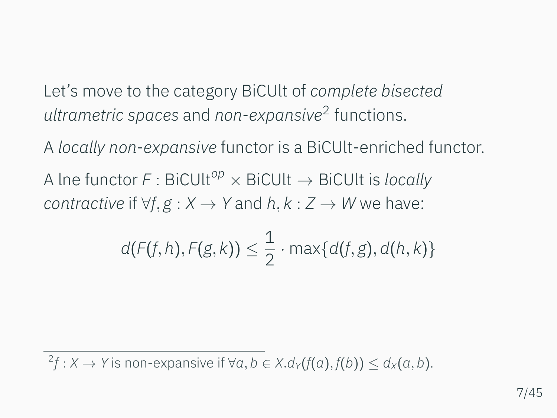Let's move to the category BiCUlt of *complete bisected ultrametric spaces* and *non-expansive*<sup>2</sup> functions.

A *locally non-expansive* functor is a BiCUlt-enriched functor. A lne functor *F* : BiCUlt*op ×* BiCUlt *→* BiCUlt is *locally contractive* if  $\forall f, g: X \rightarrow Y$  and  $h, k: Z \rightarrow W$  we have:

$$
d(F(f,h),F(g,k)) \leq \frac{1}{2} \cdot \max\{d(f,g),d(h,k)\}\
$$

 $f^2f: X \to Y$  is non-expansive if  $\forall a, b \in X. d_Y(f(a), f(b)) \leq d_X(a, b).$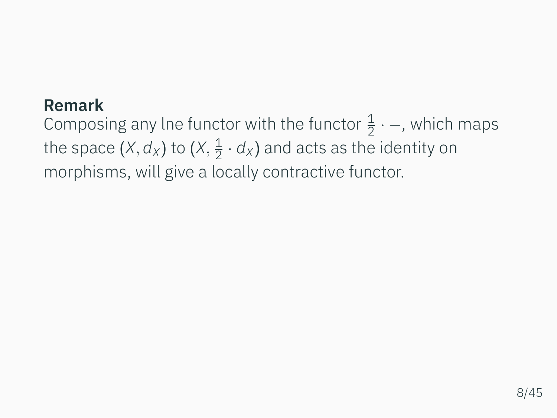#### **Remark**

Composing any lne functor with the functor  $\frac{1}{2} \cdot$  –, which maps the space  $(X, d_X)$  to  $(X, \frac{1}{2})$  $\frac{1}{2} \cdot d_X$ ) and acts as the identity on morphisms, will give a locally contractive functor.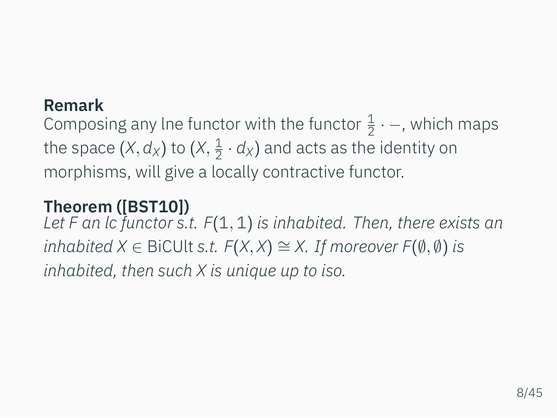#### **Remark**

Composing any lne functor with the functor  $\frac{1}{2} \cdot$  –, which maps the space  $(X, d_X)$  to  $(X, \frac{1}{2})$  $\frac{1}{2} \cdot d_X$ ) and acts as the identity on morphisms, will give a locally contractive functor.

## **Theorem ([\[BST10](#page-101-0)])**

*Let F an lc functor s.t. F*(1*,* 1) *is inhabited. Then, there exists an inhabited X ∈* BiCUlt *s.t. F*(*X, X*) *∼*= *X. If moreover F*(*∅, ∅*) *is inhabited, then such X is unique up to iso.*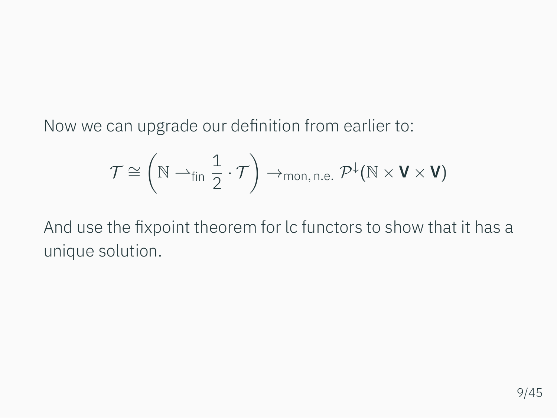Now we can upgrade our definition from earlier to:

$$
\mathcal{T}\cong \left(\mathbb{N} \rightharpoonup_{fin} \frac{1}{2}\cdot \mathcal{T}\right)\rightarrow_{mon,\,n.e.} \mathcal{P}^{\downarrow}(\mathbb{N}\times V\times V)
$$

And use the fixpoint theorem for lc functors to show that it has a unique solution.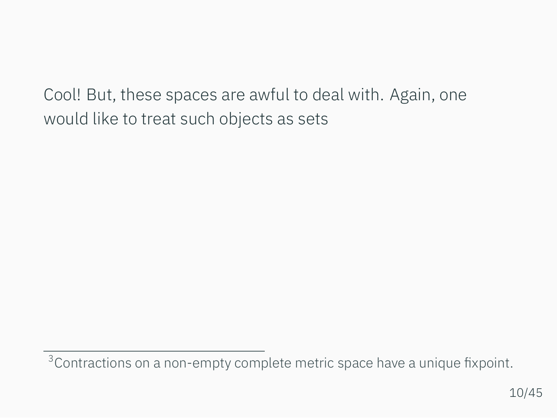Cool! But, these spaces are awful to deal with. Again, one would like to treat such objects as sets

<sup>&</sup>lt;sup>3</sup> Contractions on a non-empty complete metric space have a unique fixpoint.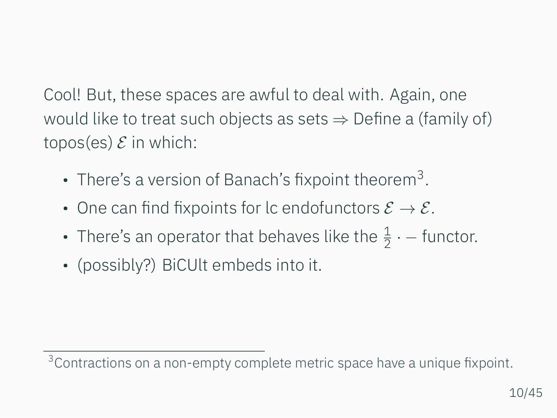Cool! But, these spaces are awful to deal with. Again, one would like to treat such objects as sets *⇒* Define a (family of) topos(es)  $\mathcal E$  in which:

- There's a version of Banach's fixpoint theorem<sup>3</sup>.
- One can find fixpoints for lc endofunctors *E → E*.
- There's an operator that behaves like the  $\frac{1}{2}$   $\cdot$  functor.
- (possibly?) BiCUlt embeds into it.

<sup>&</sup>lt;sup>3</sup> Contractions on a non-empty complete metric space have a unique fixpoint.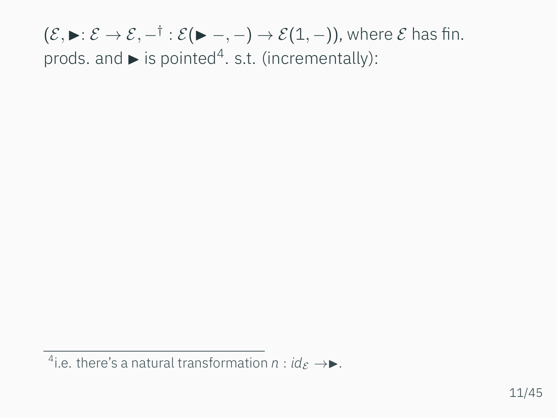<sup>&</sup>lt;sup>4</sup> i.e. there's a natural transformation  $n : id_{\mathcal{E}} \rightarrow \blacktriangleright$ .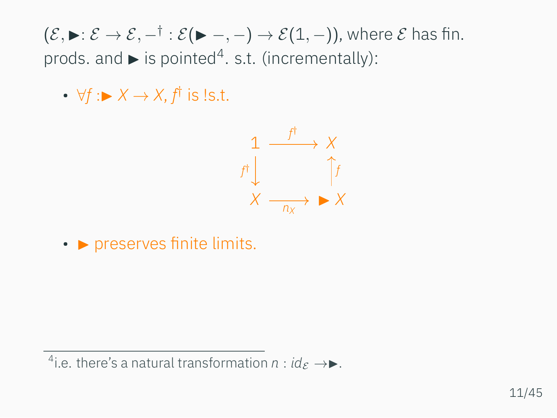• *∀f* :▶ *X → X*, *f †* is !s.t.



• **• preserves finite limits.** 

<sup>&</sup>lt;sup>4</sup> i.e. there's a natural transformation  $n : id_{\mathcal{E}} \rightarrow \blacktriangleright$ .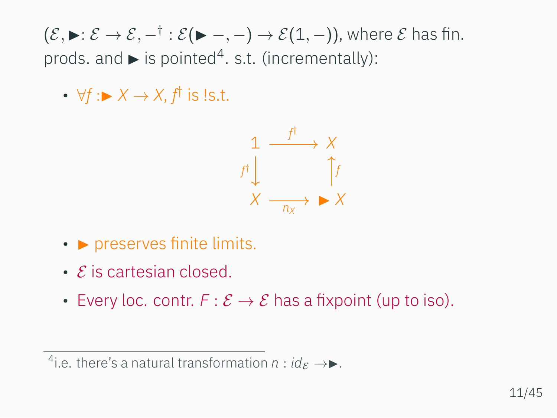• *∀f* :▶ *X → X*, *f †* is !s.t.



- **preserves finite limits.**
- *E* is cartesian closed.
- Every loc. contr.  $F: \mathcal{E} \to \mathcal{E}$  has a fixpoint (up to iso).

<sup>&</sup>lt;sup>4</sup> i.e. there's a natural transformation  $n : id_{\mathcal{E}} \rightarrow \blacktriangleright$ .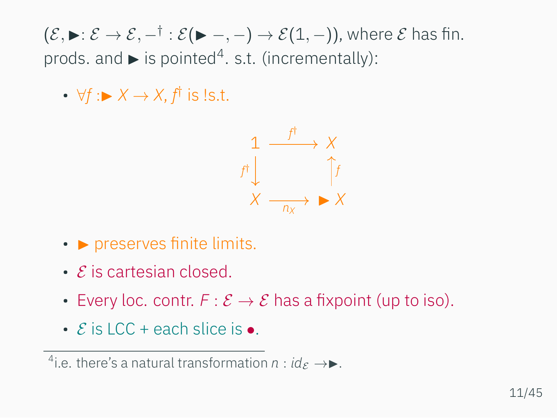• *∀f* :▶ *X → X*, *f †* is !s.t.



- **preserves finite limits.**
- *E* is cartesian closed.
- Every loc. contr.  $F: \mathcal{E} \to \mathcal{E}$  has a fixpoint (up to iso).
- *E* is LCC + each slice is *•*.

<sup>&</sup>lt;sup>4</sup> i.e. there's a natural transformation  $n : id_{\mathcal{E}} \rightarrow \blacktriangleright$ .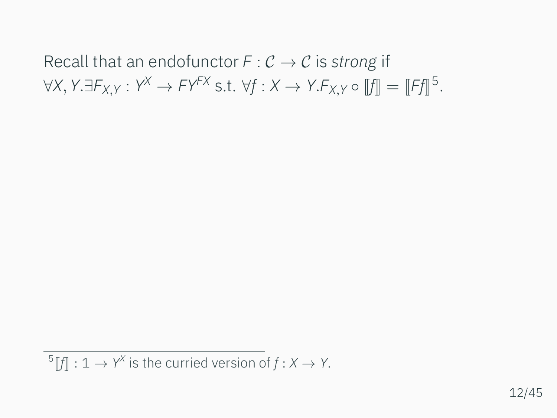# Recall that an endofunctor  $F: \mathcal{C} \to \mathcal{C}$  is *strong* if  $\forall X, Y. \exists F_{X,Y} : Y^X \rightarrow FY^{FX} \text{ s.t. } \forall f : X \rightarrow Y.F_{X,Y} \circ [[f]] = [[Ff]]^5.$

 $^5$  [*f*] : 1  $\rightarrow$  *Y*<sup>*X*</sup> is the curried version of *f* : *X*  $\rightarrow$  *Y*.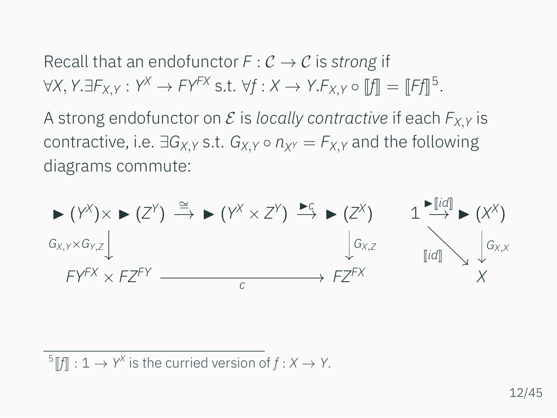Recall that an endofunctor  $F: \mathcal{C} \to \mathcal{C}$  is *strong* if  $\forall X, Y. \exists F_{X,Y} : Y^X \rightarrow FY^{FX} \text{ s.t. } \forall f : X \rightarrow Y.F_{X,Y} \circ [[f]] = [[Ff]]^5.$ 

A strong endofunctor on  $\mathcal E$  is *locally contractive* if each  $F_{X,Y}$  is *contractive, i.e.*  $\exists G_{X,Y}$  *s.t.*  $G_{X,Y} \circ n_{Y} = F_{X,Y}$  and the following diagrams commute:



 $^5$  [*f*] : 1  $\rightarrow$  *Y*<sup>*X*</sup> is the curried version of *f* : *X*  $\rightarrow$  *Y*.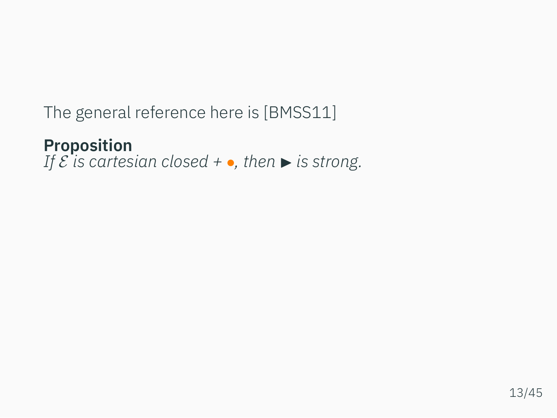The general reference here is[[BMSS11](#page-100-0)]

**Proposition** *If*  $\mathcal{E}$  *is cartesian closed* +  $\bullet$ *, then*  $\triangleright$  *is strong.*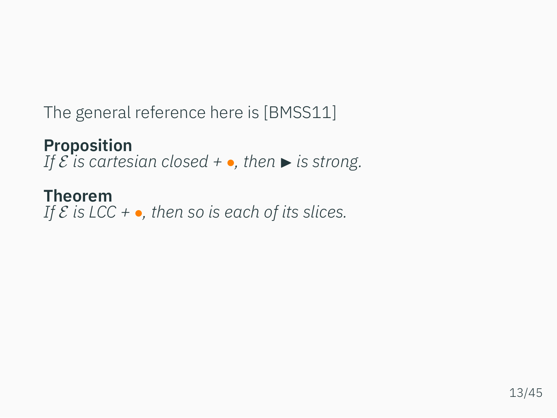The general reference here is[[BMSS11](#page-100-0)]

**Proposition** *If*  $\mathcal{E}$  *is cartesian closed* +  $\bullet$ *, then*  $\triangleright$  *is strong.* 

## **Theorem**

*If E is LCC + •, then so is each of its slices.*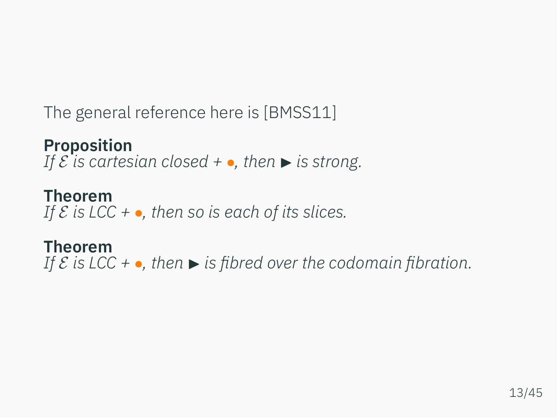The general reference here is[[BMSS11](#page-100-0)]

**Proposition** *If*  $\mathcal{E}$  *is cartesian closed* +  $\bullet$ *, then*  $\triangleright$  *is strong.* 

**Theorem** *If E is LCC + •, then so is each of its slices.*

**Theorem** *If*  $\mathcal{E}$  *is* LCC + •, then  $\blacktriangleright$  *is fibred over the codomain fibration.*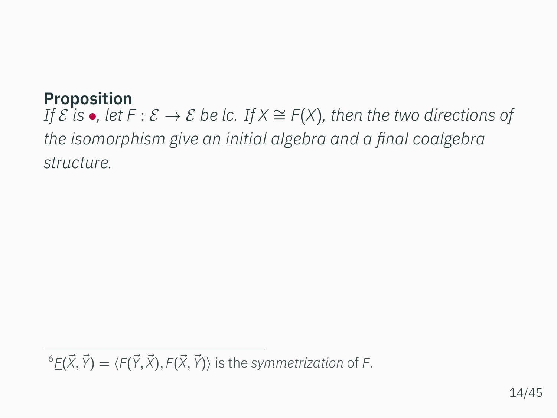## **Proposition**

*If*  $\mathcal{E}$  *is*  $\bullet$ *, let*  $F : \mathcal{E} \to \mathcal{E}$  *be lc. If*  $X \cong F(X)$ *, then the two directions of the isomorphism give an initial algebra and a final coalgebra structure.*

 ${}^6E(\vec{X}, \vec{Y}) = \langle F(\vec{Y}, \vec{X}), F(\vec{X}, \vec{Y}) \rangle$  is the symmetrization of F.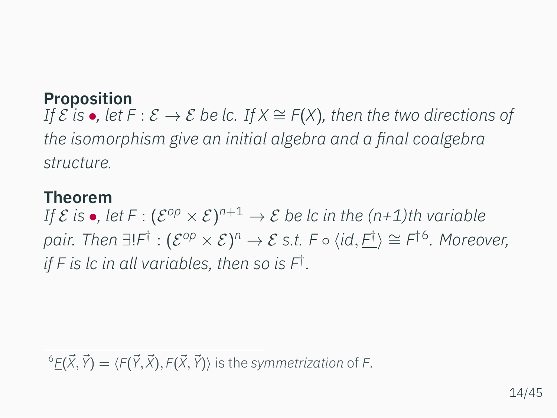## **Proposition**

*If*  $\mathcal{E}$  *is* •, let  $F : \mathcal{E} \to \mathcal{E}$  be lc. If  $X \cong F(X)$ , then the two directions of *the isomorphism give an initial algebra and a final coalgebra structure.*

#### **Theorem**

 $\it{If} \; \mathcal{E} \; \mathsf{is} \; \bullet$ , let  $\mathsf{F}: (\mathcal{E}^{\mathsf{op}} \times \mathcal{E})^{n+1} \to \mathcal{E}$  be lc in the (n+1)th variable  $p$ аіг. Then  $\exists! F^{\dagger} : (\mathcal{E}^{op} \times \mathcal{E})^{n} \rightarrow \mathcal{E}$  s.t. F  $\circ$   $\langle$ id,  $\underline{F^{\dagger}} \rangle \cong F^{\dagger 6}$ . Moreover, *if F is lc in all variables, then so is F† .*

 ${}^6E(\vec{X}, \vec{Y}) = \langle F(\vec{Y}, \vec{X}), F(\vec{X}, \vec{Y}) \rangle$  is the symmetrization of F.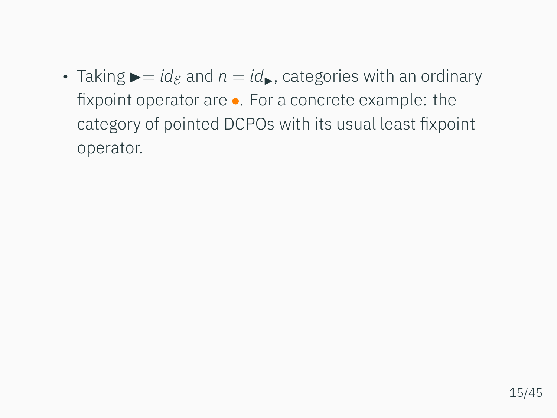• Taking  $\blacktriangleright$  = *id<sub>E</sub>* and  $n = id_$ , categories with an ordinary fixpoint operator are *•*. For a concrete example: the category of pointed DCPOs with its usual least fixpoint operator.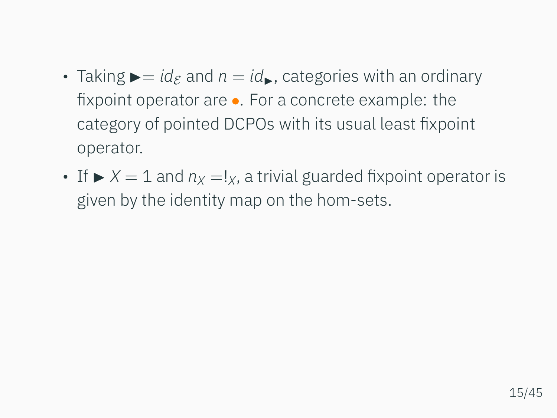- Taking  $\blacktriangleright$  = *id<sub>E</sub>* and  $n = id_$ , categories with an ordinary fixpoint operator are *•*. For a concrete example: the category of pointed DCPOs with its usual least fixpoint operator.
- If  $\triangleright$  *X* = 1 and  $n_x = 1_x$ , a trivial guarded fixpoint operator is given by the identity map on the hom-sets.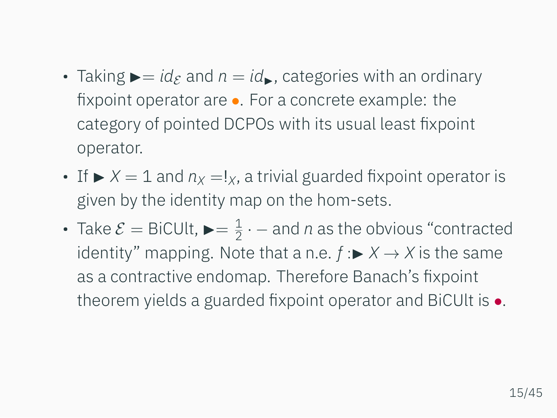- Taking  $\blacktriangleright$  = *id<sub>E</sub>* and  $n = id_$ , categories with an ordinary fixpoint operator are *•*. For a concrete example: the category of pointed DCPOs with its usual least fixpoint operator.
- If  $\triangleright$  *X* = 1 and  $n_x = 1_x$ , a trivial guarded fixpoint operator is given by the identity map on the hom-sets.
- Take  $\mathcal{E} =$  BiCUlt,  $\blacktriangleright = \frac{1}{2}$ 2 *· −* and *n* as the obvious "contracted identity" mapping. Note that a n.e.  $f : \triangleright X \to X$  is the same as a contractive endomap. Therefore Banach's fixpoint theorem yields a guarded fixpoint operator and BiCUlt is *•*.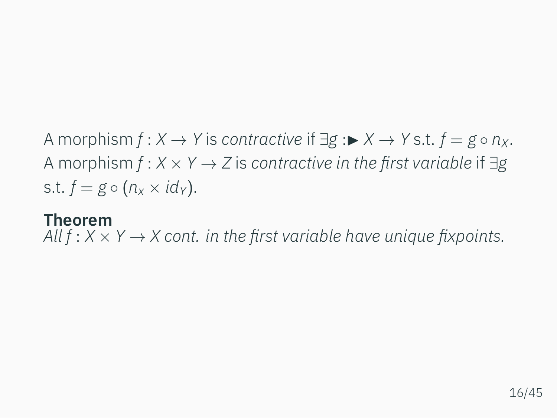A morphism  $f: X \to Y$  is *contractive* if  $\exists g: \blacktriangleright X \to Y$  s.t.  $f = g \circ n_X$ . A morphism *f* : *X × Y → Z* is *contractive in the first variable* if *∃g* s.t.  $f = g \circ (n_x \times id_y)$ .

#### **Theorem**

*All f* :  $X \times Y \rightarrow X$  cont. in the first variable have unique fixpoints.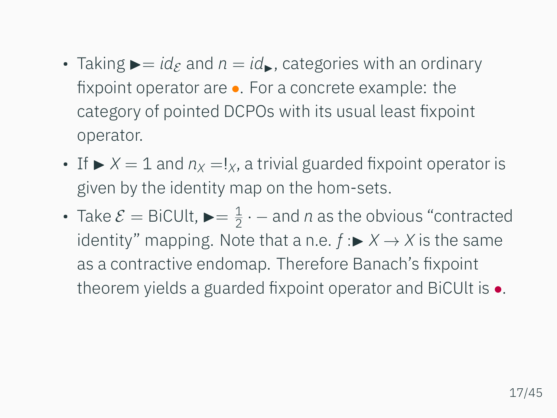- Taking  $\blacktriangleright$  = *id<sub>E</sub>* and  $n = id_$ , categories with an ordinary fixpoint operator are *•*. For a concrete example: the category of pointed DCPOs with its usual least fixpoint operator.
- If  $\triangleright$   $X = 1$  and  $n_X = I_X$ , a trivial guarded fixpoint operator is given by the identity map on the hom-sets.
- Take  $\mathcal{E} =$  BiCUlt,  $\blacktriangleright = \frac{1}{2}$ 2 *· −* and *n* as the obvious "contracted identity" mapping. Note that a n.e.  $f : \triangleright X \to X$  is the same as a contractive endomap. Therefore Banach's fixpoint theorem yields a guarded fixpoint operator and BiCUlt is *•*.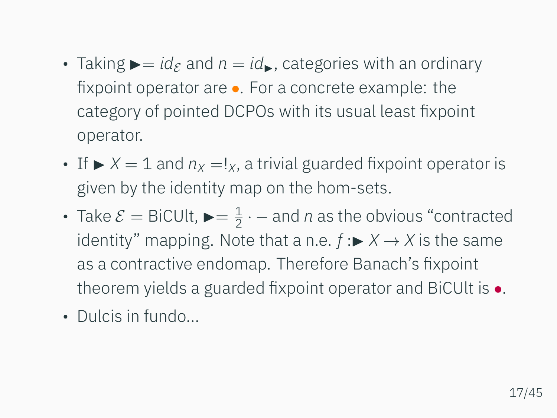- Taking  $\blacktriangleright$  = *id<sub>E</sub>* and  $n = id_$ , categories with an ordinary fixpoint operator are *•*. For a concrete example: the category of pointed DCPOs with its usual least fixpoint operator.
- If  $\triangleright$   $X = 1$  and  $n_X = I_X$ , a trivial guarded fixpoint operator is given by the identity map on the hom-sets.
- Take  $\mathcal{E} =$  BiCUlt,  $\blacktriangleright = \frac{1}{2}$ 2 *· −* and *n* as the obvious "contracted identity" mapping. Note that a n.e.  $f : \triangleright X \to X$  is the same as a contractive endomap. Therefore Banach's fixpoint theorem yields a guarded fixpoint operator and BiCUlt is *•*.
- Dulcis in fundo...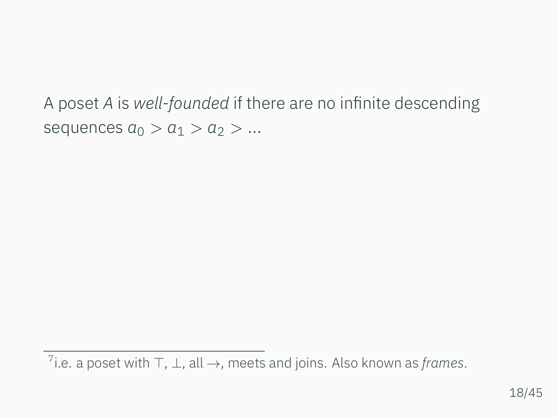A poset *A* is *well-founded* if there are no infinite descending sequences  $a_0 > a_1 > a_2 > ...$ 

<sup>7</sup> i.e. a poset with *⊤*, *⊥*, all *→*, meets and joins. Also known as *frames*.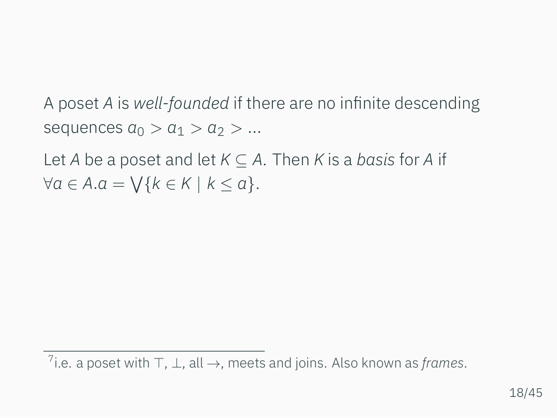A poset *A* is *well-founded* if there are no infinite descending sequences  $a_0 > a_1 > a_2 > ...$ 

Let *A* be a poset and let *K ⊆ A*. Then *K* is a *basis* for *A* if *∀a ∈ A.a* = ∨ *{k ∈ K | k ≤ a}*.

<sup>7</sup> i.e. a poset with *⊤*, *⊥*, all *→*, meets and joins. Also known as *frames*.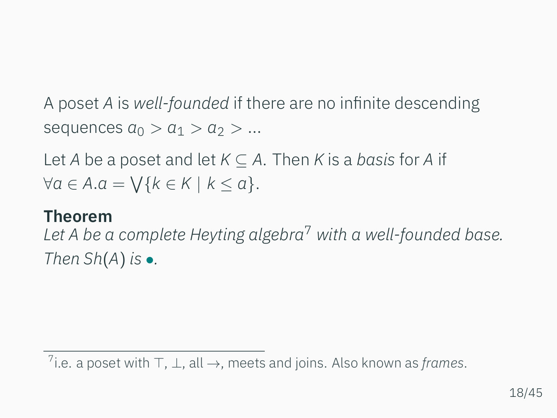A poset *A* is *well-founded* if there are no infinite descending sequences  $a_0 > a_1 > a_2 > ...$ 

Let *A* be a poset and let *K ⊆ A*. Then *K* is a *basis* for *A* if *∀a ∈ A.a* = ∨ *{k ∈ K | k ≤ a}*.

### **Theorem**

*Let A be a complete Heyting algebra*<sup>7</sup> *with a well-founded base. Then Sh*(*A*) *is •.*

<sup>7</sup> i.e. a poset with *⊤*, *⊥*, all *→*, meets and joins. Also known as *frames*.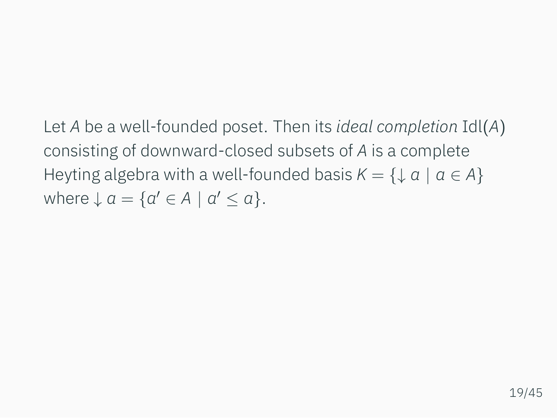Let *A* be a well-founded poset. Then its *ideal completion* Idl(*A*) consisting of downward-closed subsets of *A* is a complete Heyting algebra with a well-founded basis  $K = \{ \downarrow a \mid a \in A \}$ where  $\downarrow$   $a = \{a' \in A \mid a' \le a\}.$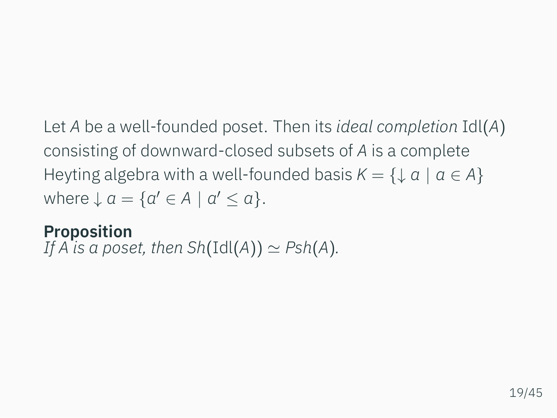Let *A* be a well-founded poset. Then its *ideal completion* Idl(*A*) consisting of downward-closed subsets of *A* is a complete Heyting algebra with a well-founded basis  $K = \{ \downarrow a \mid a \in A \}$ where  $\downarrow$   $a = \{a' \in A \mid a' \le a\}.$ 

## **Proposition** *If A* is a poset, then  $Sh(Id(A)) \simeq Psh(A)$ .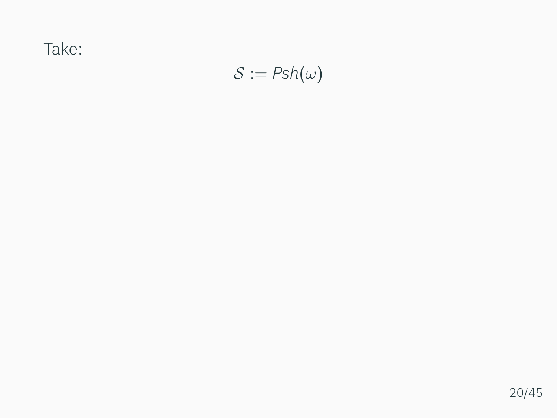Take:

$$
\mathcal{S}:=\text{Psh}(\omega)
$$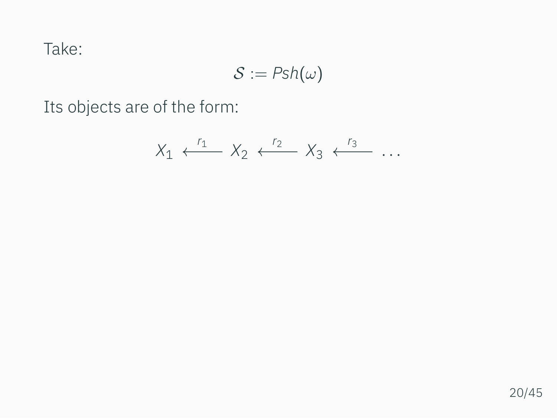Take:

$$
\mathcal{S}:=\mathit{Psh}(\omega)
$$

Its objects are of the form:

$$
X_1 \xleftarrow{r_1} X_2 \xleftarrow{r_2} X_3 \xleftarrow{r_3} \ldots
$$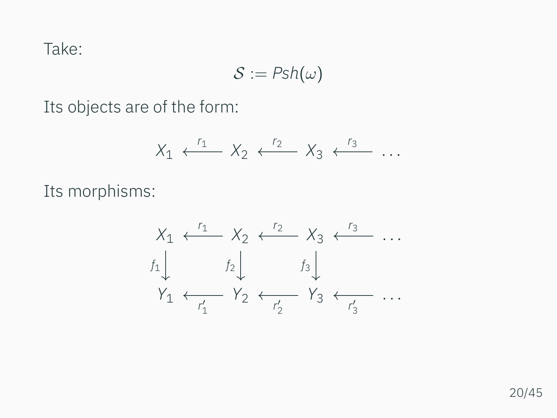Take:

$$
\mathcal{S}:=\mathit{Psh}(\omega)
$$

Its objects are of the form:

$$
X_1 \xleftarrow{r_1} X_2 \xleftarrow{r_2} X_3 \xleftarrow{r_3} \cdots
$$

Its morphisms:

$$
X_1 \leftarrow \begin{array}{c} r_1 \\ f_2 \\ f_3 \end{array} \quad X_2 \leftarrow \begin{array}{c} r_2 \\ r_3 \\ f_4 \end{array} \quad \cdots
$$
\n
$$
Y_1 \leftarrow \begin{array}{c} f_2 \\ f_2 \end{array} \quad Y_2 \leftarrow \begin{array}{c} f_3 \\ f_3 \end{array} \quad Y_3 \leftarrow \begin{array}{c} r_3 \\ r_4 \end{array} \quad \cdots
$$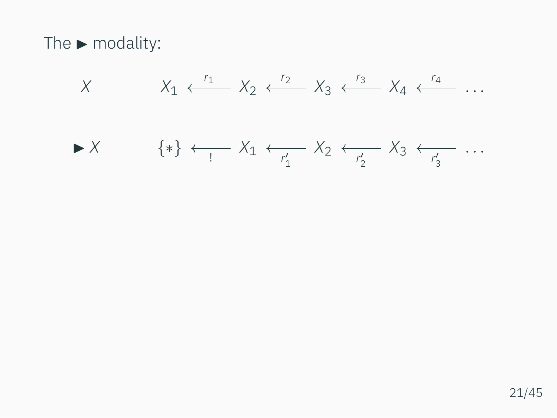The  $\blacktriangleright$  modality:

$$
X \t X_1 \xleftarrow{r_1} X_2 \xleftarrow{r_2} X_3 \xleftarrow{r_3} X_4 \xleftarrow{r_4} \dots
$$
  
\n
$$
\blacktriangleright X \t \{\ast\} \xleftarrow{r_1} X_1 \xleftarrow{r_1'} X_2 \xleftarrow{r_2'} X_3 \xleftarrow{r_3'} \dots
$$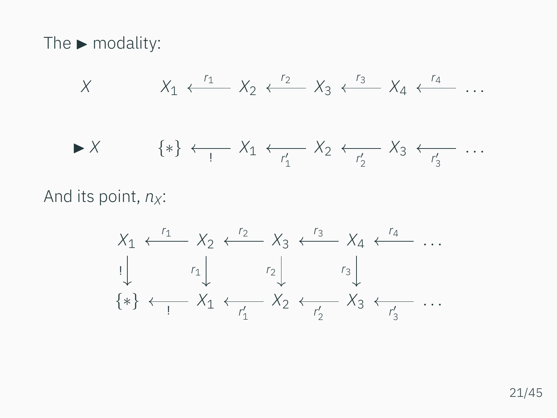The  $\blacktriangleright$  modality:

$$
X \t X_1 \xleftarrow{r_1} X_2 \xleftarrow{r_2} X_3 \xleftarrow{r_3} X_4 \xleftarrow{r_4} \dots
$$
  
\n
$$
\blacktriangleright X \t \{\ast\} \xleftarrow{r_1} X_1 \xleftarrow{r_1'} X_2 \xleftarrow{r_2'} X_3 \xleftarrow{r_3'} \dots
$$

And its point,  $n_X$ :

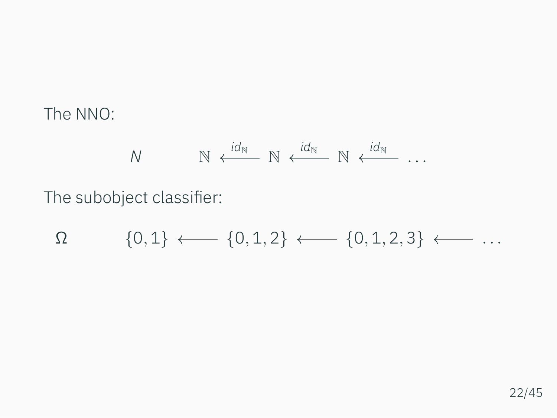The NNO:

$$
N \qquad \qquad \mathbb{N} \stackrel{id_{\mathbb{N}}}{\longleftarrow} \mathbb{N} \stackrel{id_{\mathbb{N}}}{\longleftarrow} \mathbb{N} \stackrel{id_{\mathbb{N}}}{\longleftarrow} \cdots
$$

The subobject classifier:

$$
\Omega \qquad \quad \{0,1\} \longleftarrow \{0,1,2\} \longleftarrow \{0,1,2,3\} \longleftarrow \ldots
$$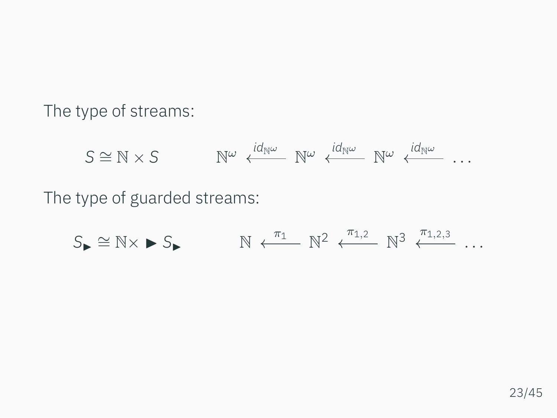The type of streams:

$$
S \cong \mathbb{N} \times S \qquad \mathbb{N}^{\omega} \stackrel{i d_{\mathbb{N}^{\omega}}}{\longleftarrow} \mathbb{N}^{\omega} \stackrel{i d_{\mathbb{N}^{\omega}}}{\longleftarrow} \mathbb{N}^{\omega} \stackrel{i d_{\mathbb{N}^{\omega}}}{\longleftarrow} \dots
$$

The type of guarded streams:

$$
S_{\blacktriangleright} \cong \mathbb{N} \times \blacktriangleright S_{\blacktriangleright} \qquad \qquad \mathbb{N} \leftarrow^{\pi_1} \mathbb{N}^2 \leftarrow^{\pi_{1,2}} \mathbb{N}^3 \leftarrow^{\pi_{1,2,3}} \dots
$$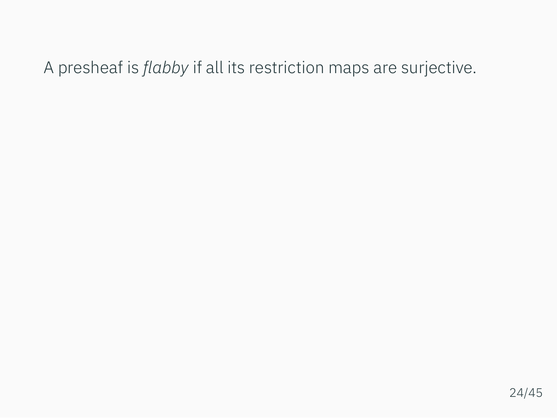A presheaf is *flabby* if all its restriction maps are surjective.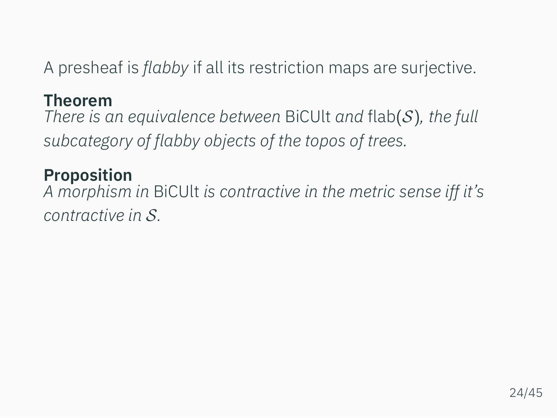A presheaf is *flabby* if all its restriction maps are surjective.

## **Theorem**

*There is an equivalence between* BiCUlt *and* flab(*S*)*, the full subcategory of flabby objects of the topos of trees.*

## **Proposition**

*A morphism in* BiCUlt *is contractive in the metric sense iff it's contractive in S.*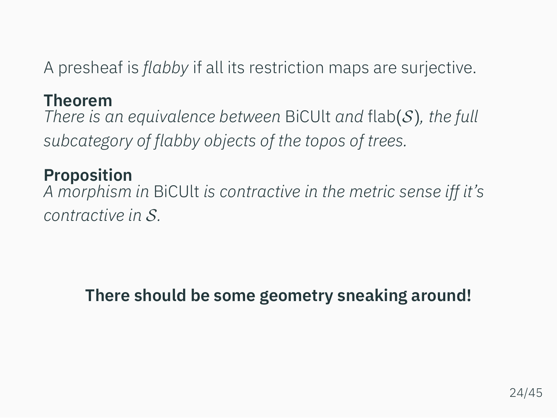A presheaf is *flabby* if all its restriction maps are surjective.

## **Theorem**

*There is an equivalence between* BiCUlt *and* flab(*S*)*, the full subcategory of flabby objects of the topos of trees.*

## **Proposition**

*A morphism in* BiCUlt *is contractive in the metric sense iff it's contractive in S.*

# **There should be some geometry sneaking around!**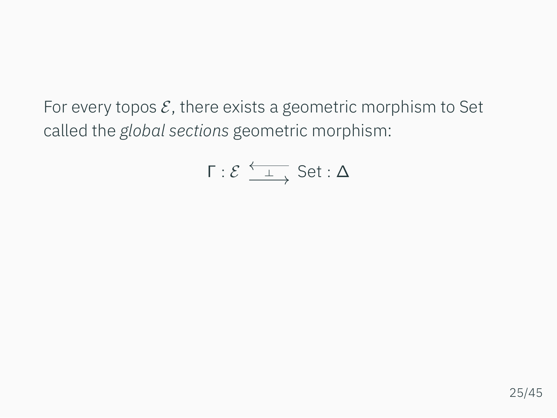For every topos *E*, there exists a geometric morphism to Set called the *global sections* geometric morphism:

$$
\Gamma : \mathcal{E} \xrightarrow{\longleftarrow} \text{Set} : \Delta
$$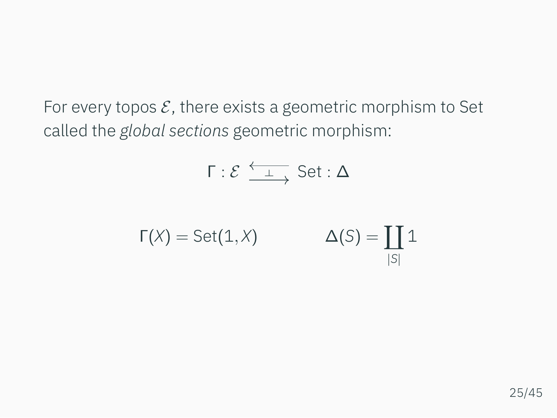For every topos *E*, there exists a geometric morphism to Set called the *global sections* geometric morphism:

$$
\Gamma : \mathcal{E} \xrightarrow{\longleftarrow} \text{Set} : \Delta
$$

$$
\Gamma(X) = Set(1, X) \qquad \Delta(S) = \coprod_{|S|} 1
$$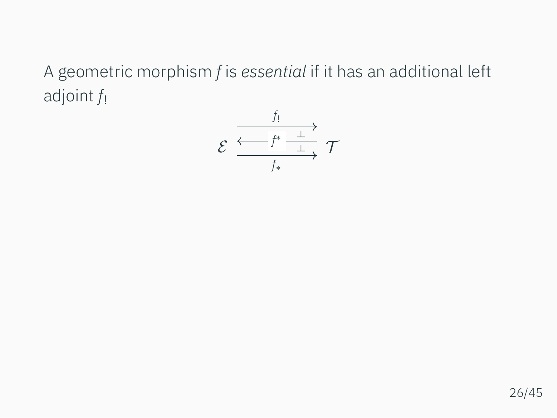A geometric morphism *f* is *essential* if it has an additional left adjoint *f*!

$$
\mathcal{E} \xrightarrow{\frac{f_1}{f^* \xrightarrow{\perp}} \mathcal{T}} \mathcal{T}
$$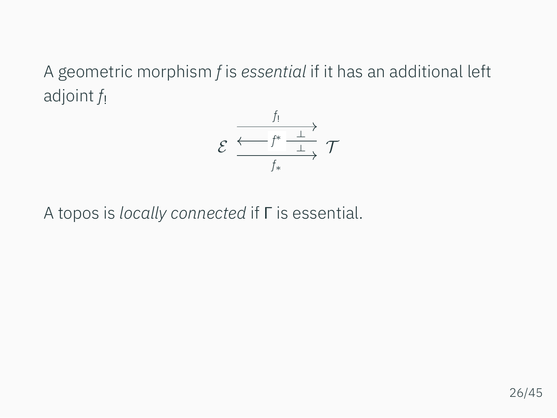A geometric morphism *f* is *essential* if it has an additional left adjoint *f*!

$$
\mathcal{E} \xrightarrow{\frac{f_!}{f_* \xrightarrow{\perp}} \mathcal{T}}
$$

A topos is *locally connected* if Γ is essential.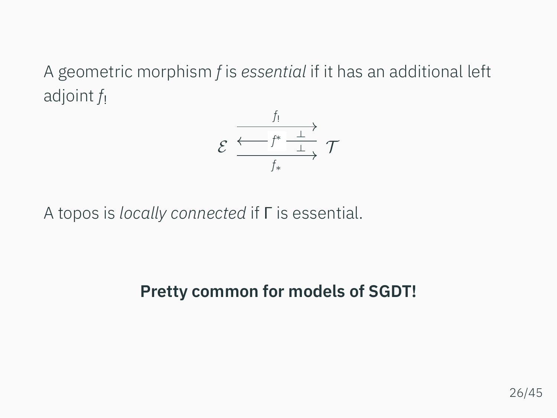A geometric morphism *f* is *essential* if it has an additional left adjoint *f*!

$$
\mathcal{E} \xrightarrow{\frac{f_!}{f_* \xrightarrow{\perp}} \mathcal{T}}
$$

A topos is *locally connected* if Γ is essential.

# **Pretty common for models of SGDT!**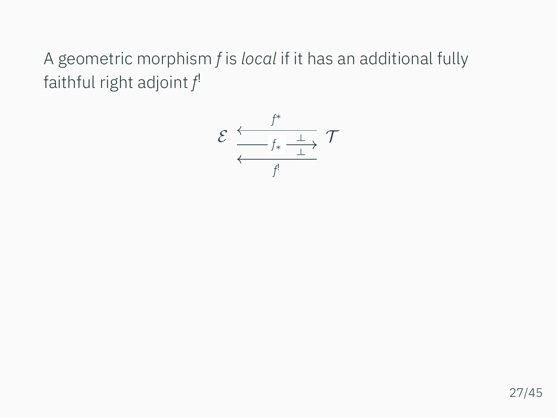A geometric morphism *f* is *local* if it has an additional fully faithful right adjoint *f* !

$$
\mathcal{E} \xleftarrow{f^* \xrightarrow{f^*} \mathcal{I}} \mathcal{T}
$$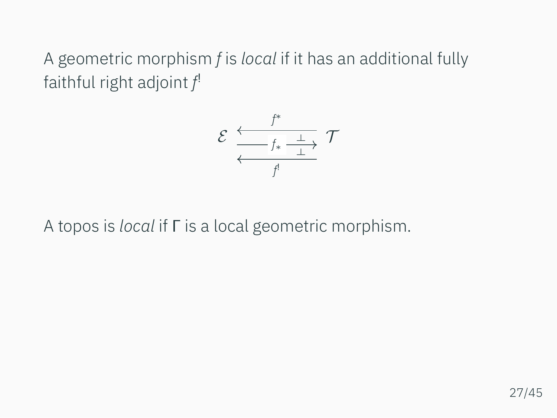A geometric morphism *f* is *local* if it has an additional fully faithful right adjoint *f* !

$$
\mathcal{E} \xleftarrow{f^* \xrightarrow{f^*} \frac{\bot}{\bot}} \mathcal{T}
$$

A topos is *local* if Γ is a local geometric morphism.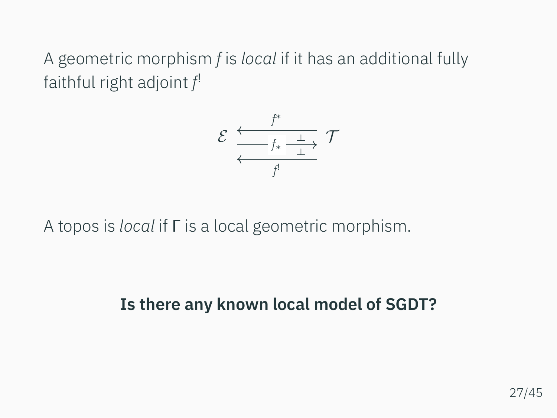A geometric morphism *f* is *local* if it has an additional fully faithful right adjoint *f* !

$$
\mathcal{E} \xleftarrow{f^* \xrightarrow{f^*} \frac{\bot}{\bot}} \mathcal{T}
$$

A topos is *local* if Γ is a local geometric morphism.

**Is there any known local model of SGDT?**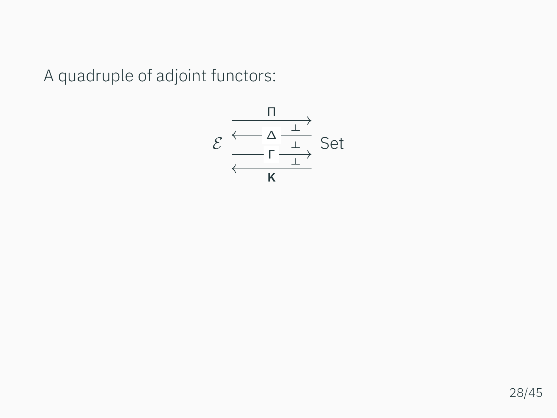A quadruple of adjoint functors:

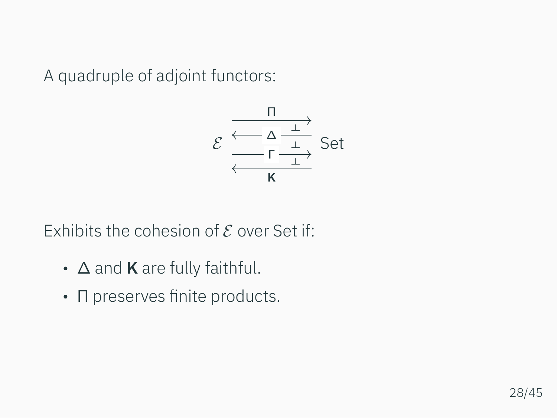A quadruple of adjoint functors:



Exhibits the cohesion of *E* over Set if:

- ∆ and **K** are fully faithful.
- Π preserves finite products.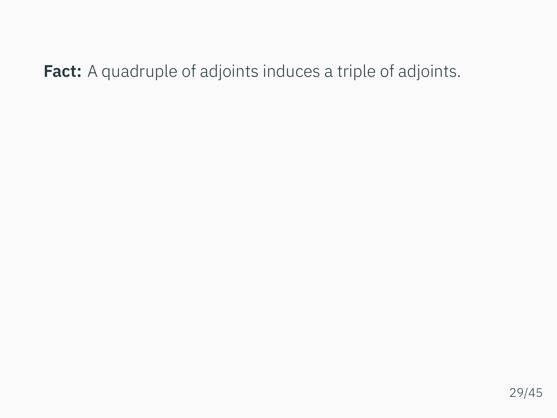**Fact:** A quadruple of adjoints induces a triple of adjoints.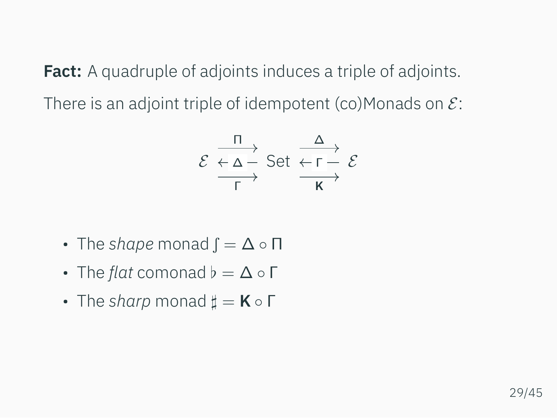**Fact:** A quadruple of adjoints induces a triple of adjoints. There is an adjoint triple of idempotent (co)Monads on *E*:

$$
\mathcal{E} \xrightarrow[\Gamma]{\Pi} \text{Set} \xrightarrow[\Gamma]{\Delta} \mathcal{E}
$$

- The *shape* monad  $\mathbf{f} = \Delta \circ \Pi$
- The *flat* comonad *♭* = ∆ *◦* Γ
- The *sharp* monad *♯* = **K** *◦* Γ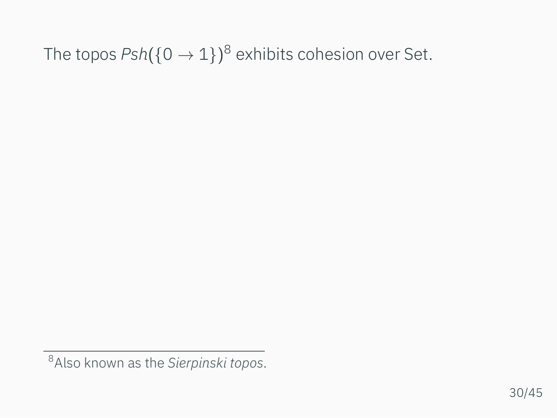# The topos *Psh*(*{*0 *→* 1*}*) <sup>8</sup> exhibits cohesion over Set.

<sup>8</sup>Also known as the *Sierpinski topos*.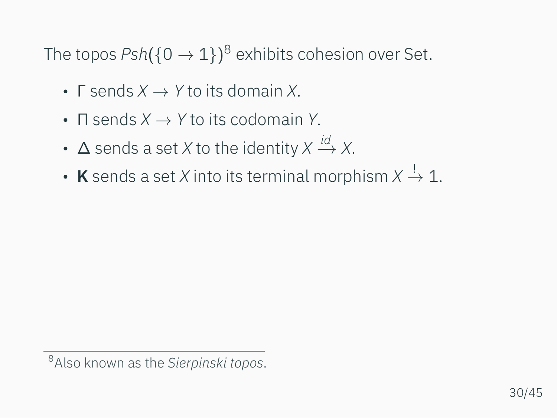The topos *Psh*(*{*0 *→* 1*}*) <sup>8</sup> exhibits cohesion over Set.

- Γ sends *X → Y* to its domain *X*.
- Π sends *X → Y* to its codomain *Y*.
- ∆ sends a set *X* to the identity *X id −→ X*.
- **K** sends a set *X* into its terminal morphism  $X \stackrel{!}{\rightarrow} \mathbb{1}.$

<sup>8</sup>Also known as the *Sierpinski topos*.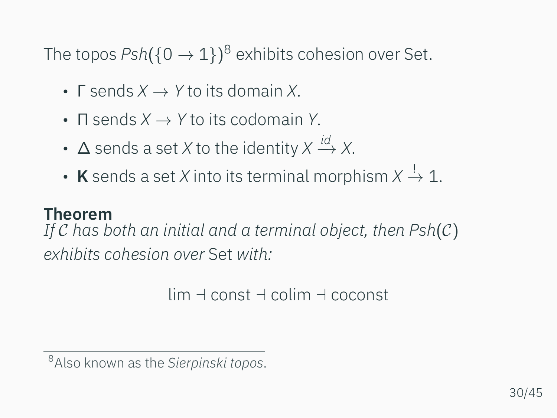The topos *Psh*(*{*0 *→* 1*}*) <sup>8</sup> exhibits cohesion over Set.

- Γ sends *X → Y* to its domain *X*.
- Π sends *X → Y* to its codomain *Y*.
- ∆ sends a set *X* to the identity *X id −→ X*.
- **K** sends a set *X* into its terminal morphism  $X \stackrel{!}{\rightarrow} \mathbb{1}.$

### **Theorem**

*If C has both an initial and a terminal object, then Psh*(*C*) *exhibits cohesion over* Set *with:*

lim *⊣* const *⊣* colim *⊣* coconst

<sup>8</sup>Also known as the *Sierpinski topos*.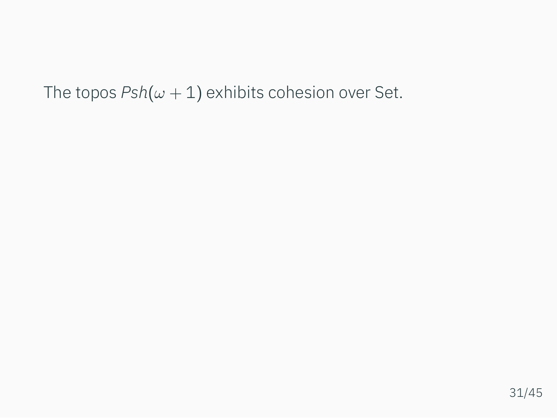The topos  $Psh(\omega + 1)$  exhibits cohesion over Set.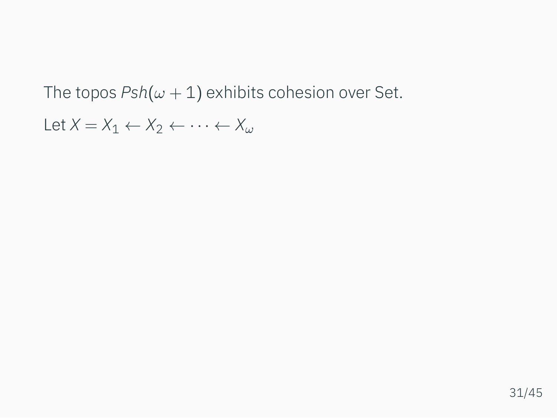The topos  $Psh(\omega + 1)$  exhibits cohesion over Set.

Let  $X = X_1 \leftarrow X_2 \leftarrow \cdots \leftarrow X_\omega$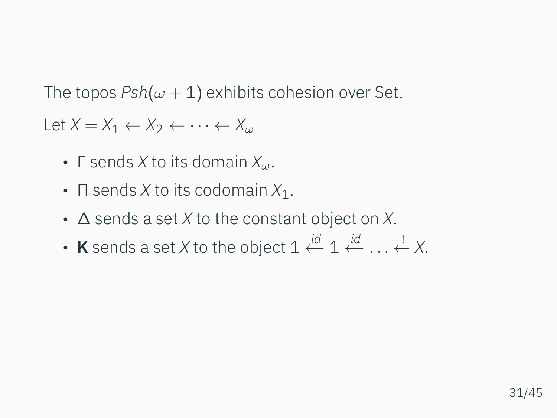The topos  $Psh(\omega + 1)$  exhibits cohesion over Set.

Let  $X = X_1 \leftarrow X_2 \leftarrow \cdots \leftarrow X_\omega$ 

- Γ sends *X* to its domain *Xω*.
- Π sends *X* to its codomain *X*1.
- ∆ sends a set *X* to the constant object on *X*.
- **K** sends a set *X* to the object 1 *id ←−* 1 *id ←− . . .* ! *←− X*.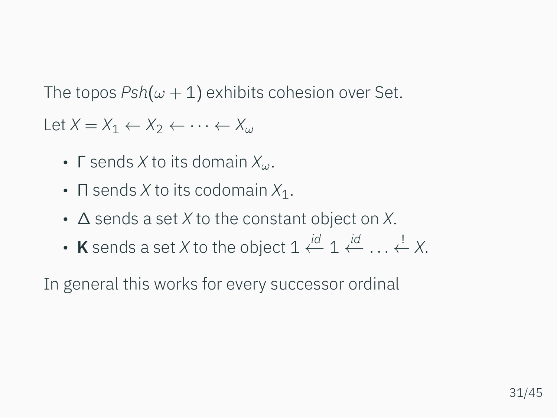The topos  $Psh(\omega + 1)$  exhibits cohesion over Set.

Let  $X = X_1 \leftarrow X_2 \leftarrow \cdots \leftarrow X_\omega$ 

- Γ sends *X* to its domain *Xω*.
- Π sends *X* to its codomain *X*1.
- ∆ sends a set *X* to the constant object on *X*.
- **K** sends a set *X* to the object 1 *id ←−* 1 *id ←− . . .* ! *←− X*.

In general this works for every successor ordinal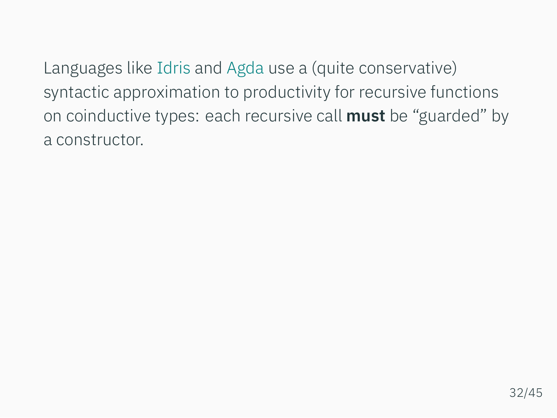Languages like Idris and Agda use a (quite conservative) syntactic approximation to productivity for recursive functions on coinductive types: each recursive call **must** be "guarded" by a constructor.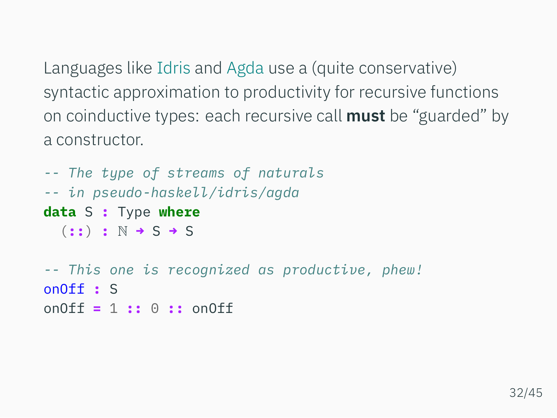Languages like Idris and Agda use a (quite conservative) syntactic approximation to productivity for recursive functions on coinductive types: each recursive call **must** be "guarded" by a constructor.

```
-- The type of streams of naturals
-- in pseudo-haskell/idris/agda
data S : Type where
  (::) : N → S → S
-- This one is recognized as productive, phew!
onOff : S
onOff = 1 :: 0 :: onOff
```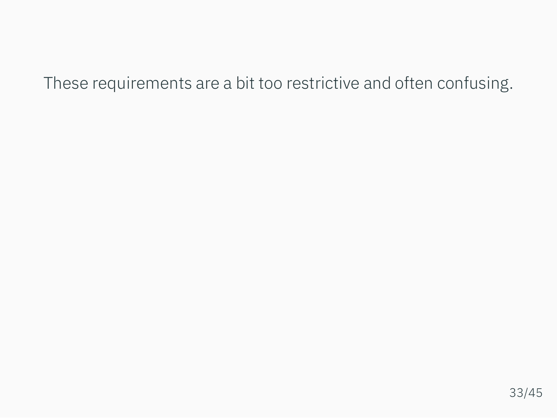## These requirements are a bit too restrictive and often confusing.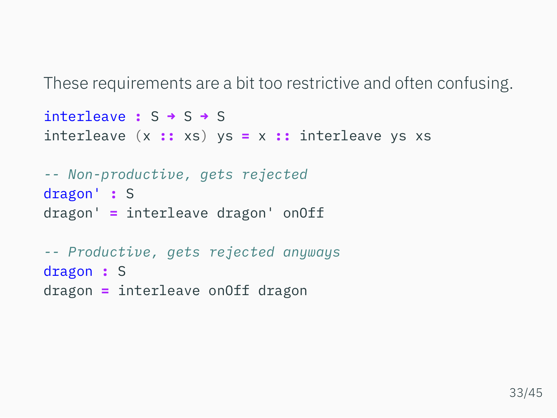These requirements are a bit too restrictive and often confusing.

```
interleave : S → S → S
interleave (x :: xs) ys = x :: interleave ys xs
```

```
-- Non-productive, gets rejected
dragon' : S
dragon' = interleave dragon' onOff
```

```
-- Productive, gets rejected anyways
dragon : S
dragon = interleave onOff dragon
```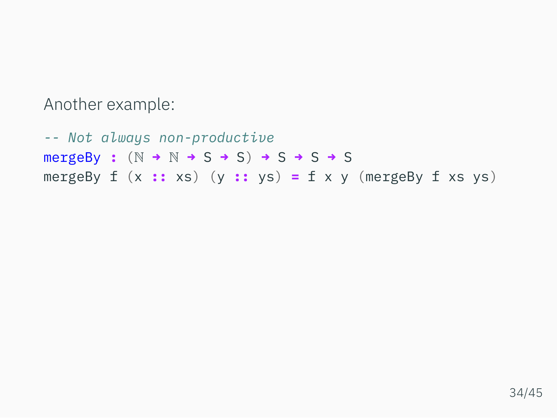Another example:

*-- Not always non-productive* mergeBy **:** (N **→** N **→** S **→** S) **→** S **→** S **→** S mergeBy f (x **::** xs) (y **::** ys) **=** f x y (mergeBy f xs ys)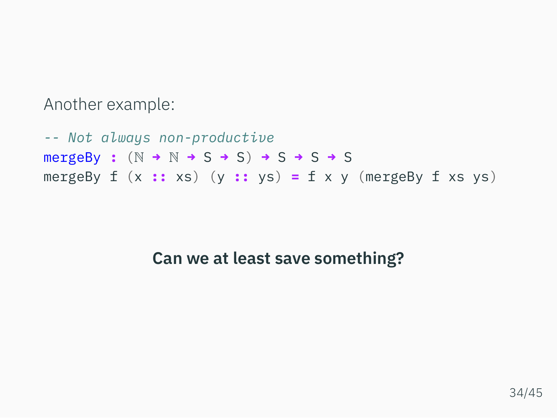Another example:

*-- Not always non-productive* mergeBy **:** (N **→** N **→** S **→** S) **→** S **→** S **→** S mergeBy f (x **::** xs) (y **::** ys) **=** f x y (mergeBy f xs ys)

## **Can we at least save something?**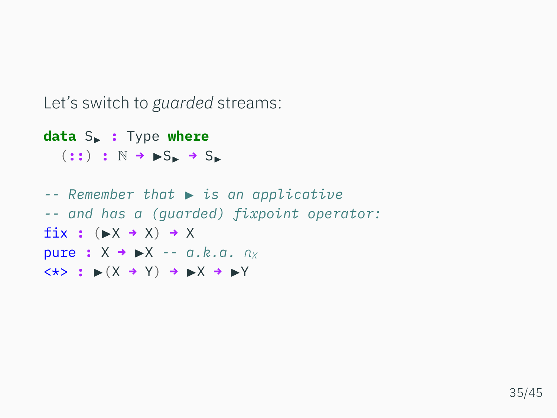Let's switch to *guarded* streams:

**data** S▶ **:** Type **where** (**::**) **:** N **→** ▶S▶ **→** S▶

*-- Remember that* ▶ *is an applicative -- and has a (guarded) fixpoint operator:* fix **:** (▶X **→** X) **→** X pure **:** X **→** ▶X *-- a.k.a. n<sup>X</sup>* <\*> **:** ▶(X **→** Y) **→** ▶X **→** ▶Y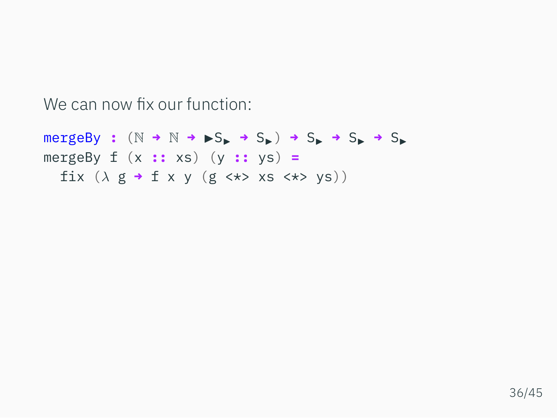We can now fix our function:

 $mergeBy$  :  $(N \rightarrow N \rightarrow \rightarrow S_{\rightarrow} \rightarrow S_{\rightarrow} \rightarrow S_{\rightarrow} \rightarrow S_{\rightarrow}$ mergeBy f (x **::** xs) (y **::** ys) **=** fix (*λ* g **→** f x y (g <\*> xs <\*> ys))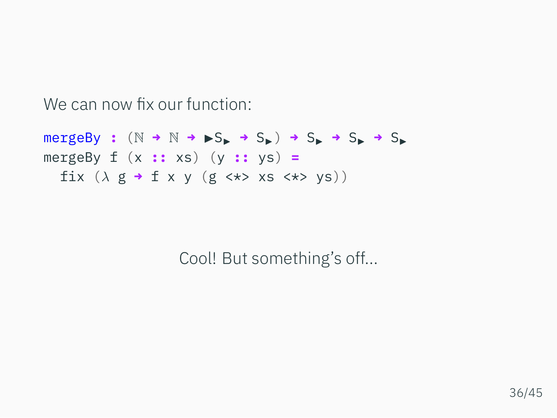We can now fix our function:

 $mergeBy$  :  $(N \rightarrow N \rightarrow S_{\blacktriangleright} \rightarrow S_{\blacktriangleright}) \rightarrow S_{\blacktriangleright} \rightarrow S_{\blacktriangleright} \rightarrow S_{\blacktriangleright}$ mergeBy f (x **::** xs) (y **::** ys) **=** fix (*λ* g **→** f x y (g <\*> xs <\*> ys))

Cool! But something's off...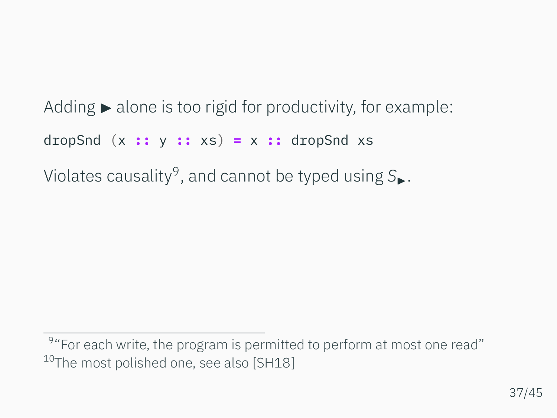Adding  $\blacktriangleright$  alone is too rigid for productivity, for example: dropSnd (x **::** y **::** xs) **=** x **::** dropSnd xs Violates causality<sup>9</sup> , and cannot be typed using *S*▶.

<sup>&</sup>lt;sup>9</sup> "For each write, the program is permitted to perform at most one read" <sup>10</sup>The most polished one, see also [\[SH18](#page-102-0)]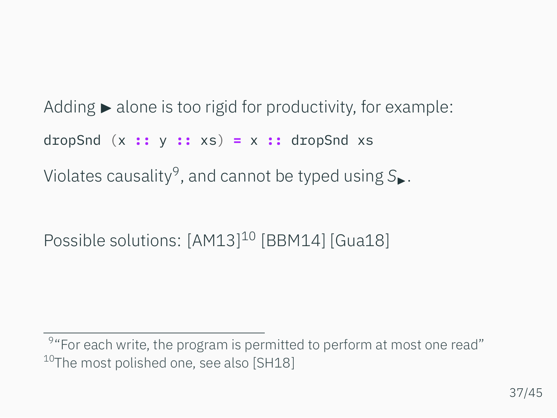Adding  $\blacktriangleright$  alone is too rigid for productivity, for example: dropSnd (x **::** y **::** xs) **=** x **::** dropSnd xs Violates causality<sup>9</sup> , and cannot be typed using *S*▶.

Possible solutions: [\[AM13\]](#page-100-0) <sup>10</sup> [\[BBM14](#page-100-1)] [\[Gua18\]](#page-101-0)

<sup>&</sup>lt;sup>9</sup> "For each write, the program is permitted to perform at most one read" <sup>10</sup>The most polished one, see also [\[SH18](#page-102-0)]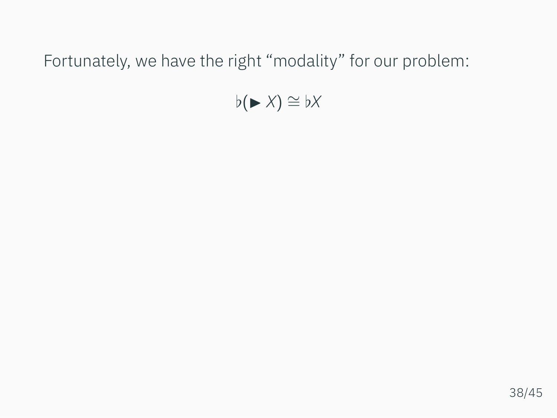Fortunately, we have the right "modality" for our problem:

*♭*(▶ *X*) *∼*= *♭X*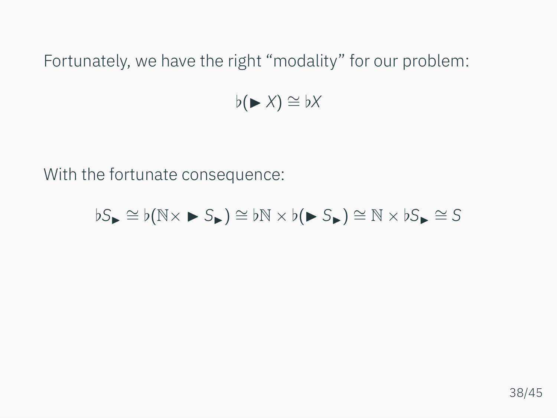Fortunately, we have the right "modality" for our problem:

*♭*(▶ *X*) *∼*= *♭X*

With the fortunate consequence:

$$
\flat S_{\blacktriangleright} \cong \flat(\mathbb{N} \times \blacktriangleright S_{\blacktriangleright}) \cong \flat \mathbb{N} \times \flat(\blacktriangleright S_{\blacktriangleright}) \cong \mathbb{N} \times \flat S_{\blacktriangleright} \cong S
$$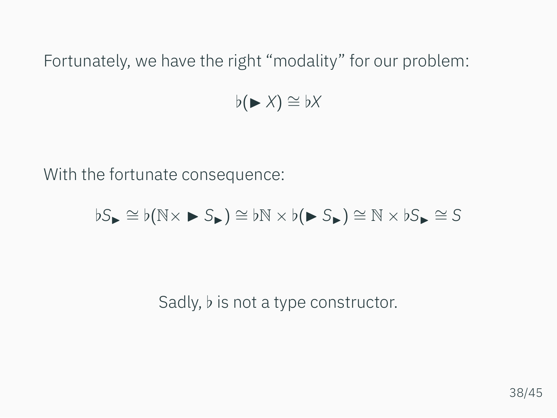Fortunately, we have the right "modality" for our problem:

*♭*(▶ *X*) *∼*= *♭X*

With the fortunate consequence:

$$
\flat S_{\blacktriangleright} \cong \flat (\mathbb{N} \times \blacktriangleright S_{\blacktriangleright}) \cong \flat \mathbb{N} \times \flat (\blacktriangleright S_{\blacktriangleright}) \cong \mathbb{N} \times \flat S_{\blacktriangleright} \cong S
$$

Sadly, *♭* is not a type constructor.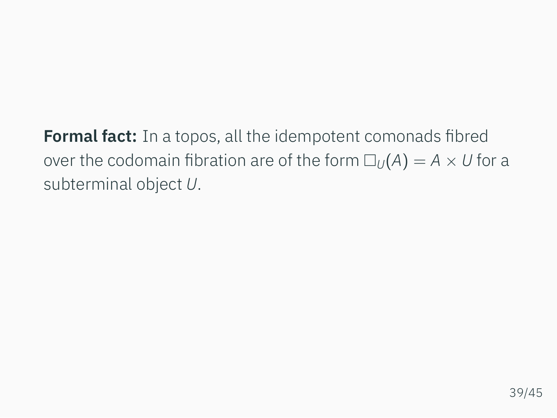**Formal fact:** In a topos, all the idempotent comonads fibred over the codomain fibration are of the form  $\square_{U}(A) = A \times U$  for a subterminal object *U*.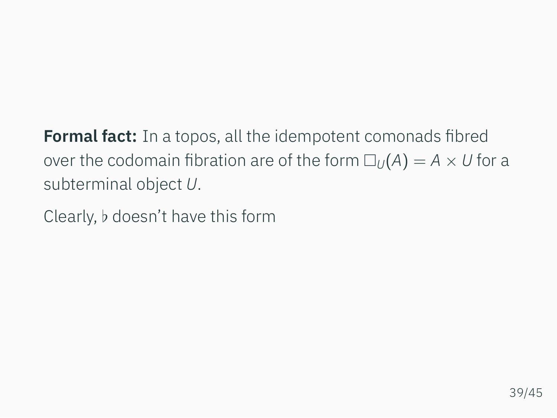**Formal fact:** In a topos, all the idempotent comonads fibred over the codomain fibration are of the form  $\square_{U}(A) = A \times U$  for a subterminal object *U*.

Clearly, *♭* doesn't have this form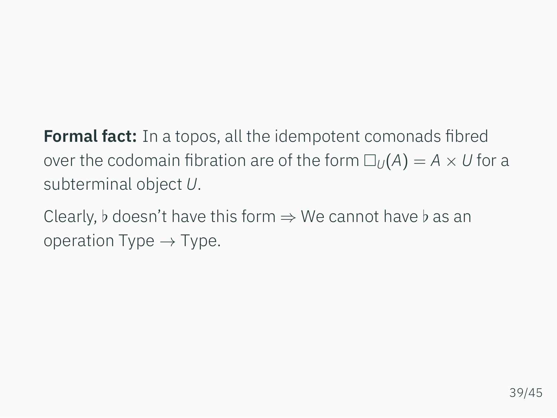**Formal fact:** In a topos, all the idempotent comonads fibred over the codomain fibration are of the form  $\square_{U}(A) = A \times U$  for a subterminal object *U*.

Clearly, *♭* doesn't have this form *⇒* We cannot have *♭* as an operation Type *→* Type.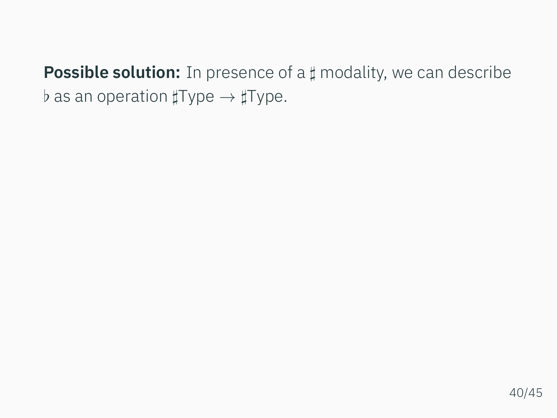**Possible solution:** In presence of a *♯* modality, we can describe *♭* as an operation *♯*Type *→ ♯*Type.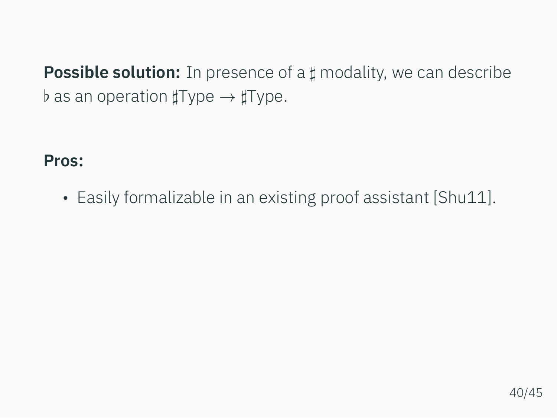**Possible solution:** In presence of a *♯* modality, we can describe *♭* as an operation *♯*Type *→ ♯*Type.

**Pros:**

•Easily formalizable in an existing proof assistant [[Shu11](#page-102-1)].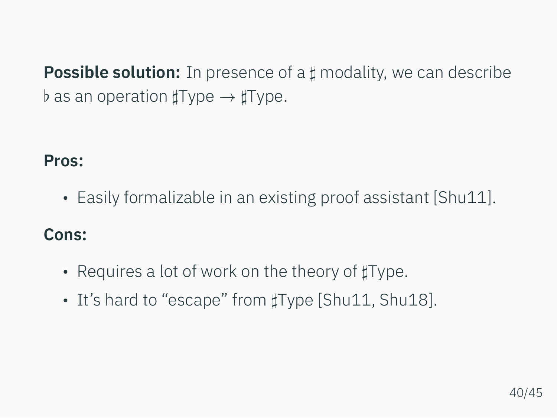**Possible solution:** In presence of a *♯* modality, we can describe *♭* as an operation *♯*Type *→ ♯*Type.

## **Pros:**

•Easily formalizable in an existing proof assistant [[Shu11](#page-102-1)].

## **Cons:**

- Requires a lot of work on the theory of *♯*Type.
- It's hard to "escape" from *♯*Type [\[Shu11,](#page-102-1) [Shu18\]](#page-102-2).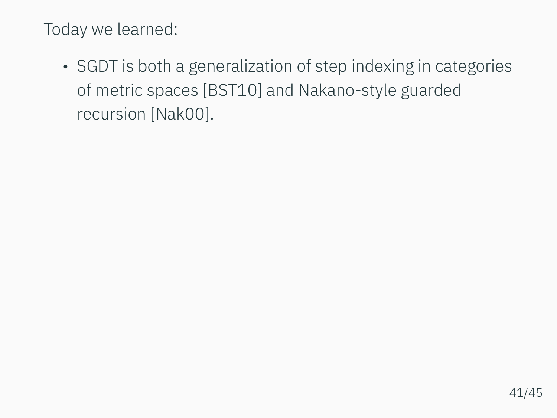• SGDT is both a generalization of step indexing in categories of metric spaces [\[BST10\]](#page-101-1) and Nakano-style guarded recursion [\[Nak00](#page-101-2)].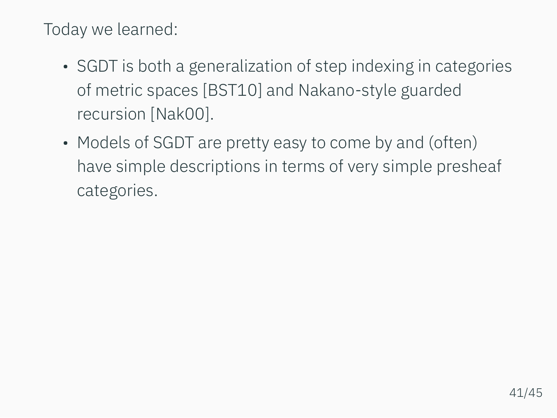- SGDT is both a generalization of step indexing in categories of metric spaces [\[BST10\]](#page-101-1) and Nakano-style guarded recursion [\[Nak00](#page-101-2)].
- Models of SGDT are pretty easy to come by and (often) have simple descriptions in terms of very simple presheaf categories.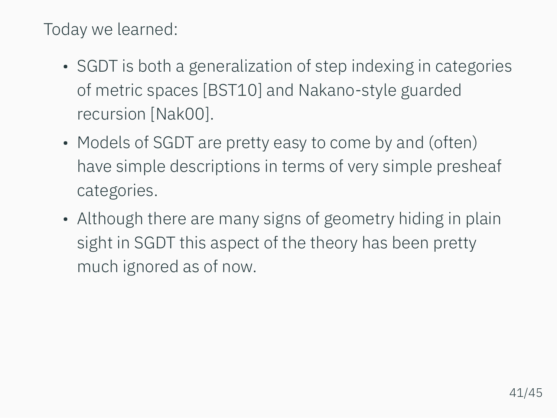- SGDT is both a generalization of step indexing in categories of metric spaces [\[BST10\]](#page-101-1) and Nakano-style guarded recursion [\[Nak00](#page-101-2)].
- Models of SGDT are pretty easy to come by and (often) have simple descriptions in terms of very simple presheaf categories.
- Although there are many signs of geometry hiding in plain sight in SGDT this aspect of the theory has been pretty much ignored as of now.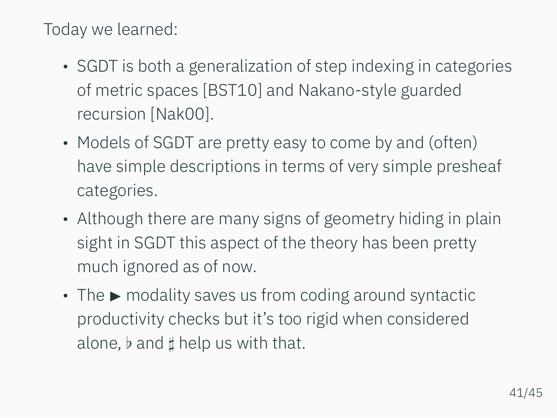- SGDT is both a generalization of step indexing in categories of metric spaces [\[BST10\]](#page-101-1) and Nakano-style guarded recursion [\[Nak00](#page-101-2)].
- Models of SGDT are pretty easy to come by and (often) have simple descriptions in terms of very simple presheaf categories.
- Although there are many signs of geometry hiding in plain sight in SGDT this aspect of the theory has been pretty much ignored as of now.
- The  $\blacktriangleright$  modality saves us from coding around syntactic productivity checks but it's too rigid when considered alone, *♭* and *♯* help us with that.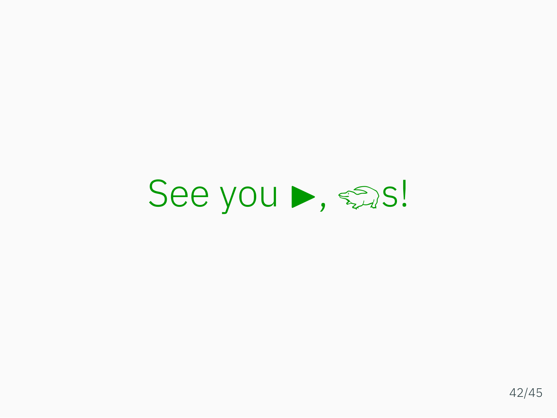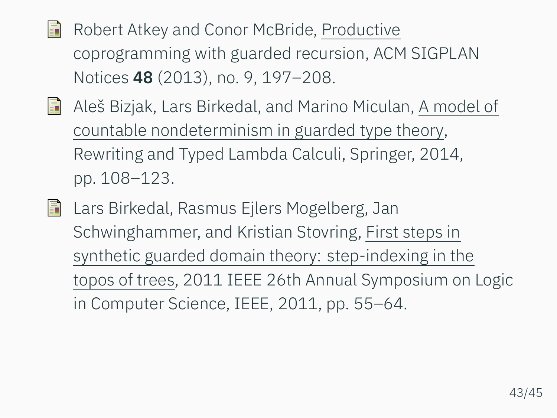<span id="page-100-0"></span>Robert Atkey and Conor McBride, Productive 譶 coprogramming with guarded recursion, ACM SIGPLAN Notices **48** (2013), no. 9, 197–208.

- <span id="page-100-1"></span>Aleš Bizjak, Lars Birkedal, and Marino Miculan, A model of 歸 countable nondeterminism in guarded type theory, Rewriting and Typed Lambda Calculi, Springer, 2014, pp. 108–123.
- **Lars Birkedal, Rasmus Eilers Mogelberg, Jan** Schwinghammer, and Kristian Stovring, First steps in synthetic guarded domain theory: step-indexing in the topos of trees, 2011 IEEE 26th Annual Symposium on Logic in Computer Science, IEEE, 2011, pp. 55–64.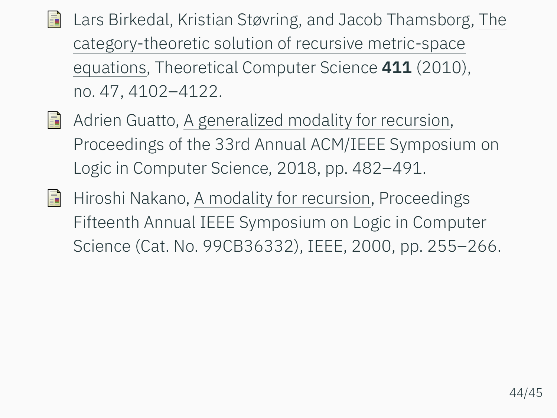- <span id="page-101-1"></span>Lars Birkedal, Kristian Støvring, and Jacob Thamsborg, The F category-theoretic solution of recursive metric-space equations, Theoretical Computer Science **411** (2010), no. 47, 4102–4122.
- <span id="page-101-0"></span>**Adrien Guatto, A generalized modality for recursion,** Proceedings of the 33rd Annual ACM/IEEE Symposium on Logic in Computer Science, 2018, pp. 482–491.
- <span id="page-101-2"></span>Hiroshi Nakano, A modality for recursion, Proceedings 歸 Fifteenth Annual IEEE Symposium on Logic in Computer Science (Cat. No. 99CB36332), IEEE, 2000, pp. 255–266.